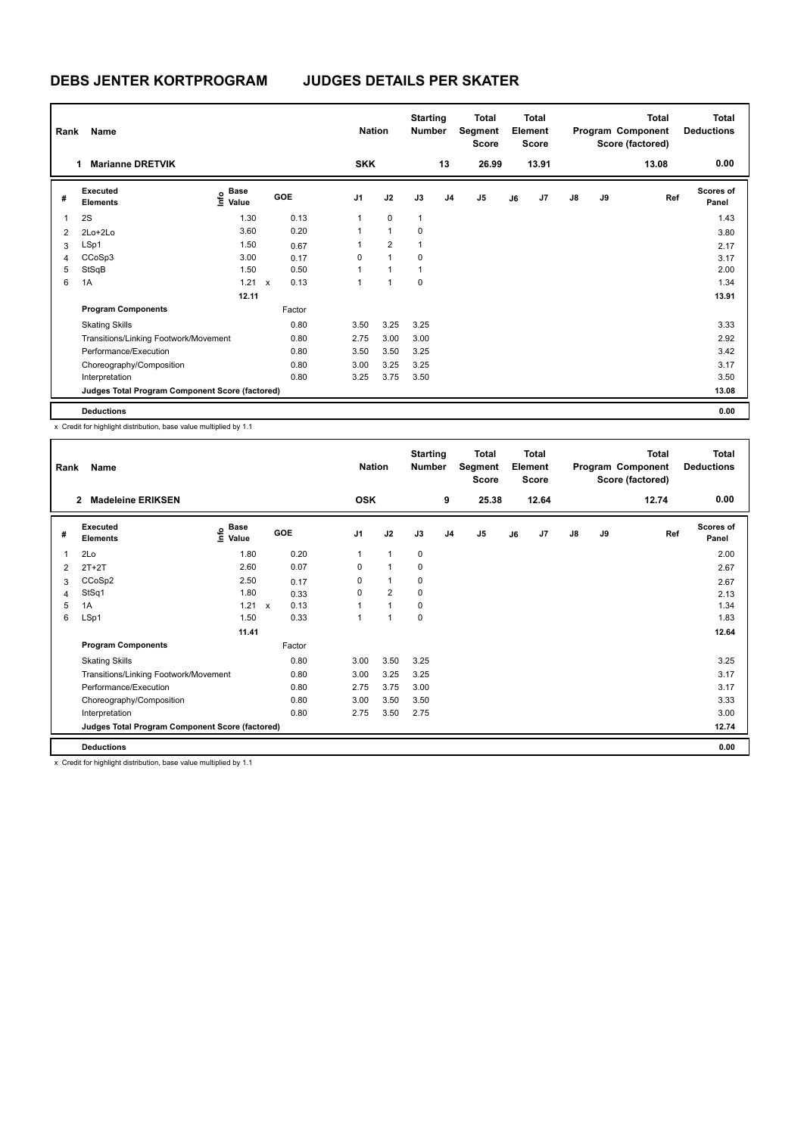| Rank | Name                                            |                                  |                      |      | <b>Nation</b>  |                | <b>Starting</b><br><b>Number</b> |                | Total<br>Segment<br><b>Score</b> |    | <b>Total</b><br>Element<br><b>Score</b> |               |    | <b>Total</b><br>Program Component<br>Score (factored) | <b>Total</b><br><b>Deductions</b> |
|------|-------------------------------------------------|----------------------------------|----------------------|------|----------------|----------------|----------------------------------|----------------|----------------------------------|----|-----------------------------------------|---------------|----|-------------------------------------------------------|-----------------------------------|
|      | <b>Marianne DRETVIK</b><br>$\mathbf{1}$         |                                  |                      |      | <b>SKK</b>     |                |                                  | 13             | 26.99                            |    | 13.91                                   |               |    | 13.08                                                 | 0.00                              |
| #    | Executed<br><b>Elements</b>                     | <b>Base</b><br>e Base<br>⊆ Value | <b>GOE</b>           |      | J <sub>1</sub> | J2             | J3                               | J <sub>4</sub> | J <sub>5</sub>                   | J6 | J7                                      | $\mathsf{J}8$ | J9 | Ref                                                   | <b>Scores of</b><br>Panel         |
|      | 2S                                              | 1.30                             |                      | 0.13 | $\mathbf{1}$   | $\mathbf 0$    | $\mathbf{1}$                     |                |                                  |    |                                         |               |    |                                                       | 1.43                              |
| 2    | $2Lo+2Lo$                                       | 3.60                             |                      | 0.20 |                | $\mathbf{1}$   | 0                                |                |                                  |    |                                         |               |    |                                                       | 3.80                              |
| 3    | LSp1                                            | 1.50                             | 0.67                 |      |                | $\overline{2}$ |                                  |                |                                  |    |                                         |               |    |                                                       | 2.17                              |
| 4    | CCoSp3                                          | 3.00                             | 0.17                 |      | 0              | 1              | 0                                |                |                                  |    |                                         |               |    |                                                       | 3.17                              |
| 5    | StSqB                                           | 1.50                             |                      | 0.50 |                | $\overline{1}$ |                                  |                |                                  |    |                                         |               |    |                                                       | 2.00                              |
| 6    | 1A                                              | 1.21                             | 0.13<br>$\mathsf{x}$ |      | 1              | 1              | $\mathbf 0$                      |                |                                  |    |                                         |               |    |                                                       | 1.34                              |
|      |                                                 | 12.11                            |                      |      |                |                |                                  |                |                                  |    |                                         |               |    |                                                       | 13.91                             |
|      | <b>Program Components</b>                       |                                  | Factor               |      |                |                |                                  |                |                                  |    |                                         |               |    |                                                       |                                   |
|      | <b>Skating Skills</b>                           |                                  |                      | 0.80 | 3.50           | 3.25           | 3.25                             |                |                                  |    |                                         |               |    |                                                       | 3.33                              |
|      | Transitions/Linking Footwork/Movement           |                                  |                      | 0.80 | 2.75           | 3.00           | 3.00                             |                |                                  |    |                                         |               |    |                                                       | 2.92                              |
|      | Performance/Execution                           |                                  |                      | 0.80 | 3.50           | 3.50           | 3.25                             |                |                                  |    |                                         |               |    |                                                       | 3.42                              |
|      | Choreography/Composition                        |                                  |                      | 0.80 | 3.00           | 3.25           | 3.25                             |                |                                  |    |                                         |               |    |                                                       | 3.17                              |
|      | Interpretation                                  |                                  |                      | 0.80 | 3.25           | 3.75           | 3.50                             |                |                                  |    |                                         |               |    |                                                       | 3.50                              |
|      | Judges Total Program Component Score (factored) |                                  |                      |      |                |                |                                  |                |                                  |    |                                         |               |    |                                                       | 13.08                             |
|      | <b>Deductions</b>                               |                                  |                      |      |                |                |                                  |                |                                  |    |                                         |               |    |                                                       | 0.00                              |

| Rank | Name<br><b>Madeleine ERIKSEN</b><br>$\overline{2}$ |                                  |                      |                | <b>Nation</b>  | <b>Starting</b><br><b>Number</b> |                | <b>Total</b><br>Segment<br><b>Score</b> |    | <b>Total</b><br>Element<br><b>Score</b> |               |    | <b>Total</b><br>Program Component<br>Score (factored) | <b>Total</b><br><b>Deductions</b> |
|------|----------------------------------------------------|----------------------------------|----------------------|----------------|----------------|----------------------------------|----------------|-----------------------------------------|----|-----------------------------------------|---------------|----|-------------------------------------------------------|-----------------------------------|
|      |                                                    |                                  |                      | <b>OSK</b>     |                |                                  | 9              | 25.38                                   |    | 12.64                                   |               |    | 12.74                                                 | 0.00                              |
| #    | Executed<br><b>Elements</b>                        | <b>Base</b><br>e Base<br>E Value | GOE                  | J <sub>1</sub> | J2             | J3                               | J <sub>4</sub> | J5                                      | J6 | J7                                      | $\mathsf{J}8$ | J9 | Ref                                                   | Scores of<br>Panel                |
| 1    | 2Lo                                                | 1.80                             | 0.20                 | $\mathbf{1}$   | $\mathbf{1}$   | 0                                |                |                                         |    |                                         |               |    |                                                       | 2.00                              |
| 2    | $2T+2T$                                            | 2.60                             | 0.07                 | 0              | $\mathbf{1}$   | 0                                |                |                                         |    |                                         |               |    |                                                       | 2.67                              |
| 3    | CCoSp2                                             | 2.50                             | 0.17                 | $\Omega$       | $\mathbf{1}$   | 0                                |                |                                         |    |                                         |               |    |                                                       | 2.67                              |
| 4    | StSq1                                              | 1.80                             | 0.33                 | 0              | $\overline{2}$ | 0                                |                |                                         |    |                                         |               |    |                                                       | 2.13                              |
| 5    | 1A                                                 | 1.21                             | 0.13<br>$\mathsf{x}$ | 1              | $\mathbf{1}$   | 0                                |                |                                         |    |                                         |               |    |                                                       | 1.34                              |
| 6    | LSp1                                               | 1.50                             | 0.33                 | 1              | $\overline{1}$ | $\mathbf 0$                      |                |                                         |    |                                         |               |    |                                                       | 1.83                              |
|      |                                                    | 11.41                            |                      |                |                |                                  |                |                                         |    |                                         |               |    |                                                       | 12.64                             |
|      | <b>Program Components</b>                          |                                  | Factor               |                |                |                                  |                |                                         |    |                                         |               |    |                                                       |                                   |
|      | <b>Skating Skills</b>                              |                                  | 0.80                 | 3.00           | 3.50           | 3.25                             |                |                                         |    |                                         |               |    |                                                       | 3.25                              |
|      | Transitions/Linking Footwork/Movement              |                                  | 0.80                 | 3.00           | 3.25           | 3.25                             |                |                                         |    |                                         |               |    |                                                       | 3.17                              |
|      | Performance/Execution                              |                                  | 0.80                 | 2.75           | 3.75           | 3.00                             |                |                                         |    |                                         |               |    |                                                       | 3.17                              |
|      | Choreography/Composition                           |                                  | 0.80                 | 3.00           | 3.50           | 3.50                             |                |                                         |    |                                         |               |    |                                                       | 3.33                              |
|      | Interpretation                                     |                                  | 0.80                 | 2.75           | 3.50           | 2.75                             |                |                                         |    |                                         |               |    |                                                       | 3.00                              |
|      | Judges Total Program Component Score (factored)    |                                  |                      |                |                |                                  |                |                                         |    |                                         |               |    |                                                       | 12.74                             |
|      | <b>Deductions</b>                                  |                                  |                      |                |                |                                  |                |                                         |    |                                         |               |    |                                                       | 0.00                              |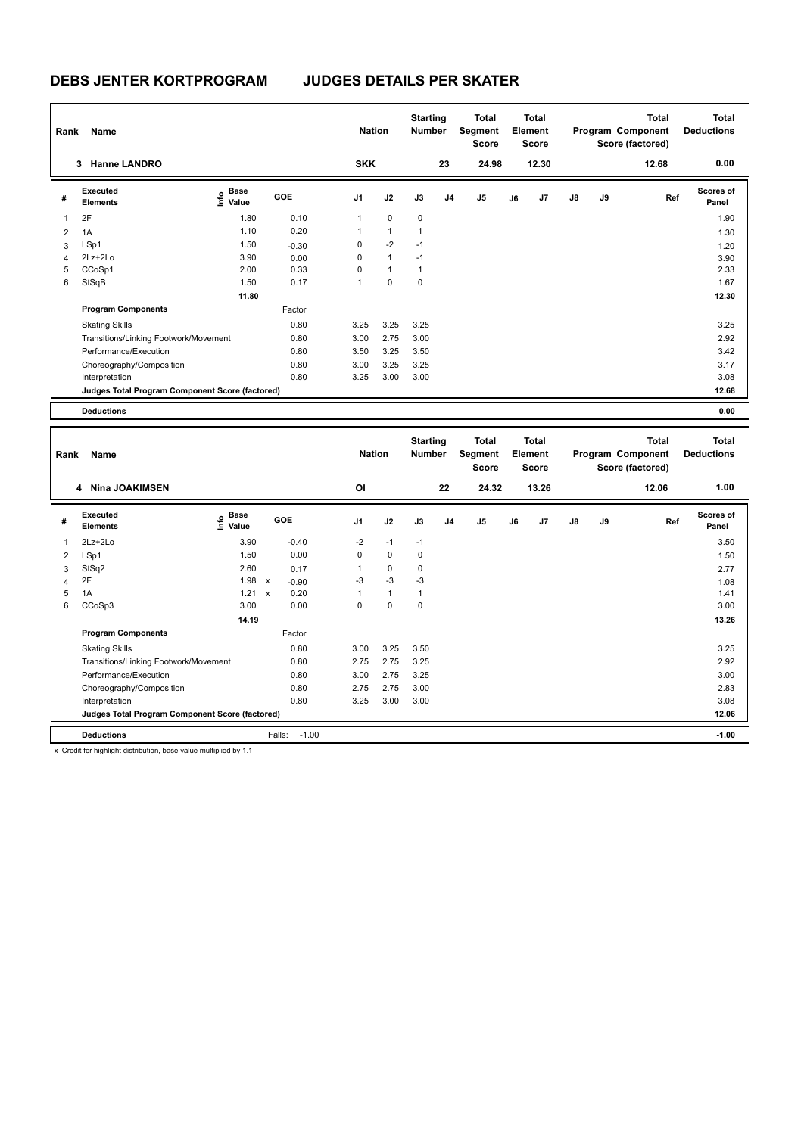| Rank | Name                                            |                                           |            | <b>Nation</b>  |              | <b>Starting</b><br><b>Number</b> |                | Total<br>Segment<br><b>Score</b> |    | <b>Total</b><br>Element<br><b>Score</b> |               |    | <b>Total</b><br>Program Component<br>Score (factored) | <b>Total</b><br><b>Deductions</b> |
|------|-------------------------------------------------|-------------------------------------------|------------|----------------|--------------|----------------------------------|----------------|----------------------------------|----|-----------------------------------------|---------------|----|-------------------------------------------------------|-----------------------------------|
|      | <b>Hanne LANDRO</b><br>3                        |                                           |            | <b>SKK</b>     |              |                                  | 23             | 24.98                            |    | 12.30                                   |               |    | 12.68                                                 | 0.00                              |
| #    | Executed<br><b>Elements</b>                     | $\frac{e}{E}$ Base<br>$\frac{e}{E}$ Value | <b>GOE</b> | J <sub>1</sub> | J2           | J3                               | J <sub>4</sub> | J5                               | J6 | J7                                      | $\mathsf{J}8$ | J9 | Ref                                                   | Scores of<br>Panel                |
| 1    | 2F                                              | 1.80                                      | 0.10       | $\mathbf{1}$   | $\mathbf 0$  | $\mathbf 0$                      |                |                                  |    |                                         |               |    |                                                       | 1.90                              |
| 2    | 1A                                              | 1.10                                      | 0.20       |                | $\mathbf{1}$ | 1                                |                |                                  |    |                                         |               |    |                                                       | 1.30                              |
| 3    | LSp1                                            | 1.50                                      | $-0.30$    | 0              | $-2$         | $-1$                             |                |                                  |    |                                         |               |    |                                                       | 1.20                              |
| 4    | 2Lz+2Lo                                         | 3.90                                      | 0.00       | $\Omega$       | $\mathbf{1}$ | $-1$                             |                |                                  |    |                                         |               |    |                                                       | 3.90                              |
| 5    | CCoSp1                                          | 2.00                                      | 0.33       | $\Omega$       | $\mathbf{1}$ |                                  |                |                                  |    |                                         |               |    |                                                       | 2.33                              |
| 6    | StSqB                                           | 1.50                                      | 0.17       |                | $\mathbf 0$  | 0                                |                |                                  |    |                                         |               |    |                                                       | 1.67                              |
|      |                                                 | 11.80                                     |            |                |              |                                  |                |                                  |    |                                         |               |    |                                                       | 12.30                             |
|      | <b>Program Components</b>                       |                                           | Factor     |                |              |                                  |                |                                  |    |                                         |               |    |                                                       |                                   |
|      | <b>Skating Skills</b>                           |                                           | 0.80       | 3.25           | 3.25         | 3.25                             |                |                                  |    |                                         |               |    |                                                       | 3.25                              |
|      | Transitions/Linking Footwork/Movement           |                                           | 0.80       | 3.00           | 2.75         | 3.00                             |                |                                  |    |                                         |               |    |                                                       | 2.92                              |
|      | Performance/Execution                           |                                           | 0.80       | 3.50           | 3.25         | 3.50                             |                |                                  |    |                                         |               |    |                                                       | 3.42                              |
|      | Choreography/Composition                        |                                           | 0.80       | 3.00           | 3.25         | 3.25                             |                |                                  |    |                                         |               |    |                                                       | 3.17                              |
|      | Interpretation                                  |                                           | 0.80       | 3.25           | 3.00         | 3.00                             |                |                                  |    |                                         |               |    |                                                       | 3.08                              |
|      | Judges Total Program Component Score (factored) |                                           |            |                |              |                                  |                |                                  |    |                                         |               |    |                                                       | 12.68                             |
|      | <b>Deductions</b>                               |                                           |            |                |              |                                  |                |                                  |    |                                         |               |    |                                                       | 0.00                              |

| Rank | Name<br>4 Nina JOAKIMSEN                        |                                  |                           |         | <b>Nation</b><br>ΟI |              | <b>Starting</b><br><b>Number</b> | 22 | <b>Total</b><br>Segment<br><b>Score</b><br>24.32 |    | <b>Total</b><br>Element<br><b>Score</b><br>13.26 |               |    | <b>Total</b><br>Program Component<br>Score (factored)<br>12.06 | <b>Total</b><br><b>Deductions</b><br>1.00 |
|------|-------------------------------------------------|----------------------------------|---------------------------|---------|---------------------|--------------|----------------------------------|----|--------------------------------------------------|----|--------------------------------------------------|---------------|----|----------------------------------------------------------------|-------------------------------------------|
| #    | Executed<br><b>Elements</b>                     | <b>Base</b><br>e Base<br>⊆ Value |                           | GOE     | J1                  | J2           | J3                               | J4 | J <sub>5</sub>                                   | J6 | J7                                               | $\mathsf{J}8$ | J9 | Ref                                                            | Scores of<br>Panel                        |
| 1    | $2Lz+2Lo$                                       | 3.90                             |                           | $-0.40$ | $-2$                | $-1$         | $-1$                             |    |                                                  |    |                                                  |               |    |                                                                | 3.50                                      |
| 2    | LSp1                                            | 1.50                             |                           | 0.00    | 0                   | $\mathbf 0$  | 0                                |    |                                                  |    |                                                  |               |    |                                                                | 1.50                                      |
| 3    | StSq2                                           | 2.60                             |                           | 0.17    |                     | 0            | 0                                |    |                                                  |    |                                                  |               |    |                                                                | 2.77                                      |
| 4    | 2F                                              | 1.98                             | $\boldsymbol{\mathsf{x}}$ | $-0.90$ | $-3$                | $-3$         | $-3$                             |    |                                                  |    |                                                  |               |    |                                                                | 1.08                                      |
| 5    | 1A                                              | 1.21                             | $\boldsymbol{\mathsf{x}}$ | 0.20    |                     | $\mathbf{1}$ | $\mathbf{1}$                     |    |                                                  |    |                                                  |               |    |                                                                | 1.41                                      |
| 6    | CCoSp3                                          | 3.00                             |                           | 0.00    | 0                   | 0            | 0                                |    |                                                  |    |                                                  |               |    |                                                                | 3.00                                      |
|      |                                                 | 14.19                            |                           |         |                     |              |                                  |    |                                                  |    |                                                  |               |    |                                                                | 13.26                                     |
|      | <b>Program Components</b>                       |                                  |                           | Factor  |                     |              |                                  |    |                                                  |    |                                                  |               |    |                                                                |                                           |
|      | <b>Skating Skills</b>                           |                                  |                           | 0.80    | 3.00                | 3.25         | 3.50                             |    |                                                  |    |                                                  |               |    |                                                                | 3.25                                      |
|      | Transitions/Linking Footwork/Movement           |                                  |                           | 0.80    | 2.75                | 2.75         | 3.25                             |    |                                                  |    |                                                  |               |    |                                                                | 2.92                                      |
|      | Performance/Execution                           |                                  |                           | 0.80    | 3.00                | 2.75         | 3.25                             |    |                                                  |    |                                                  |               |    |                                                                | 3.00                                      |
|      | Choreography/Composition                        |                                  |                           | 0.80    | 2.75                | 2.75         | 3.00                             |    |                                                  |    |                                                  |               |    |                                                                | 2.83                                      |
|      | Interpretation                                  |                                  |                           | 0.80    | 3.25                | 3.00         | 3.00                             |    |                                                  |    |                                                  |               |    |                                                                | 3.08                                      |
|      | Judges Total Program Component Score (factored) |                                  |                           |         |                     |              |                                  |    |                                                  |    |                                                  |               |    |                                                                | 12.06                                     |
|      | <b>Deductions</b>                               |                                  | Falls:                    | $-1.00$ |                     |              |                                  |    |                                                  |    |                                                  |               |    |                                                                | $-1.00$                                   |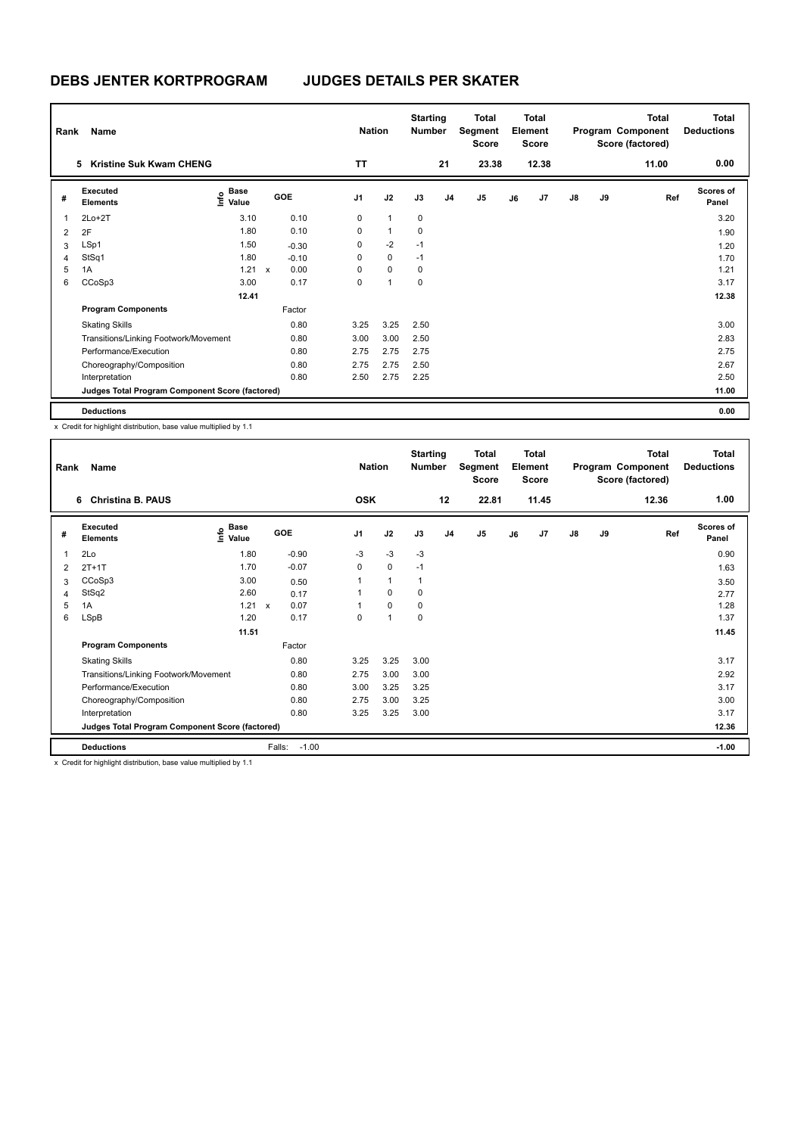| Rank | Name                                            |                                  |              |            | <b>Nation</b>  |                | <b>Starting</b><br><b>Number</b> |                | Total<br>Segment<br><b>Score</b> |    | <b>Total</b><br>Element<br><b>Score</b> |               |    | <b>Total</b><br>Program Component<br>Score (factored) | <b>Total</b><br><b>Deductions</b> |
|------|-------------------------------------------------|----------------------------------|--------------|------------|----------------|----------------|----------------------------------|----------------|----------------------------------|----|-----------------------------------------|---------------|----|-------------------------------------------------------|-----------------------------------|
|      | <b>Kristine Suk Kwam CHENG</b><br>5             |                                  |              |            | <b>TT</b>      |                |                                  | 21             | 23.38                            |    | 12.38                                   |               |    | 11.00                                                 | 0.00                              |
| #    | Executed<br><b>Elements</b>                     | <b>Base</b><br>e Base<br>⊆ Value |              | <b>GOE</b> | J <sub>1</sub> | J2             | J3                               | J <sub>4</sub> | J <sub>5</sub>                   | J6 | J7                                      | $\mathsf{J}8$ | J9 | Ref                                                   | <b>Scores of</b><br>Panel         |
|      | $2Lo+2T$                                        | 3.10                             |              | 0.10       | 0              | $\overline{1}$ | 0                                |                |                                  |    |                                         |               |    |                                                       | 3.20                              |
| 2    | 2F                                              | 1.80                             |              | 0.10       | 0              | $\mathbf{1}$   | 0                                |                |                                  |    |                                         |               |    |                                                       | 1.90                              |
| 3    | LSp1                                            | 1.50                             |              | $-0.30$    | 0              | $-2$           | $-1$                             |                |                                  |    |                                         |               |    |                                                       | 1.20                              |
| 4    | StSq1                                           | 1.80                             |              | $-0.10$    | 0              | $\mathbf 0$    | $-1$                             |                |                                  |    |                                         |               |    |                                                       | 1.70                              |
| 5    | 1A                                              | 1.21                             | $\mathsf{x}$ | 0.00       | $\Omega$       | $\mathbf 0$    | 0                                |                |                                  |    |                                         |               |    |                                                       | 1.21                              |
| 6    | CCoSp3                                          | 3.00                             |              | 0.17       | $\Omega$       | $\overline{1}$ | 0                                |                |                                  |    |                                         |               |    |                                                       | 3.17                              |
|      |                                                 | 12.41                            |              |            |                |                |                                  |                |                                  |    |                                         |               |    |                                                       | 12.38                             |
|      | <b>Program Components</b>                       |                                  |              | Factor     |                |                |                                  |                |                                  |    |                                         |               |    |                                                       |                                   |
|      | <b>Skating Skills</b>                           |                                  |              | 0.80       | 3.25           | 3.25           | 2.50                             |                |                                  |    |                                         |               |    |                                                       | 3.00                              |
|      | Transitions/Linking Footwork/Movement           |                                  |              | 0.80       | 3.00           | 3.00           | 2.50                             |                |                                  |    |                                         |               |    |                                                       | 2.83                              |
|      | Performance/Execution                           |                                  |              | 0.80       | 2.75           | 2.75           | 2.75                             |                |                                  |    |                                         |               |    |                                                       | 2.75                              |
|      | Choreography/Composition                        |                                  |              | 0.80       | 2.75           | 2.75           | 2.50                             |                |                                  |    |                                         |               |    |                                                       | 2.67                              |
|      | Interpretation                                  |                                  |              | 0.80       | 2.50           | 2.75           | 2.25                             |                |                                  |    |                                         |               |    |                                                       | 2.50                              |
|      | Judges Total Program Component Score (factored) |                                  |              |            |                |                |                                  |                |                                  |    |                                         |               |    |                                                       | 11.00                             |
|      | <b>Deductions</b>                               |                                  |              |            |                |                |                                  |                |                                  |    |                                         |               |    |                                                       | 0.00                              |

| Rank | Name                                                                |                                  |                   | <b>Nation</b>  |                      | <b>Starting</b><br><b>Number</b> |                | <b>Total</b><br>Segment<br>Score |    | <b>Total</b><br>Element<br><b>Score</b> |               |    | <b>Total</b><br>Program Component<br>Score (factored) | <b>Total</b><br><b>Deductions</b> |
|------|---------------------------------------------------------------------|----------------------------------|-------------------|----------------|----------------------|----------------------------------|----------------|----------------------------------|----|-----------------------------------------|---------------|----|-------------------------------------------------------|-----------------------------------|
|      | <b>Christina B. PAUS</b><br>6                                       |                                  |                   | <b>OSK</b>     |                      |                                  | 12             | 22.81                            |    | 11.45                                   |               |    | 12.36                                                 | 1.00                              |
| #    | Executed<br><b>Elements</b>                                         | <b>Base</b><br>e Base<br>E Value | GOE               | J <sub>1</sub> | J2                   | J3                               | J <sub>4</sub> | J5                               | J6 | J7                                      | $\mathsf{J}8$ | J9 | Ref                                                   | <b>Scores of</b><br>Panel         |
| 1    | 2Lo                                                                 | 1.80                             | $-0.90$           | $-3$           | $-3$                 | $-3$                             |                |                                  |    |                                         |               |    |                                                       | 0.90                              |
| 2    | $2T+1T$                                                             | 1.70                             | $-0.07$           | 0              | 0                    | $-1$                             |                |                                  |    |                                         |               |    |                                                       | 1.63                              |
| 3    | CCoSp3                                                              | 3.00                             | 0.50              | 1              | $\mathbf{1}$         | 1                                |                |                                  |    |                                         |               |    |                                                       | 3.50                              |
| 4    | StSq2                                                               | 2.60                             | 0.17              |                | 0                    | 0                                |                |                                  |    |                                         |               |    |                                                       | 2.77                              |
| 5    | 1A                                                                  | $1.21 \times$                    | 0.07              |                | 0                    | 0                                |                |                                  |    |                                         |               |    |                                                       | 1.28                              |
| 6    | LSpB                                                                | 1.20                             | 0.17              | 0              | $\blacktriangleleft$ | 0                                |                |                                  |    |                                         |               |    |                                                       | 1.37                              |
|      |                                                                     | 11.51                            |                   |                |                      |                                  |                |                                  |    |                                         |               |    |                                                       | 11.45                             |
|      | <b>Program Components</b>                                           |                                  | Factor            |                |                      |                                  |                |                                  |    |                                         |               |    |                                                       |                                   |
|      | <b>Skating Skills</b>                                               |                                  | 0.80              | 3.25           | 3.25                 | 3.00                             |                |                                  |    |                                         |               |    |                                                       | 3.17                              |
|      | Transitions/Linking Footwork/Movement                               |                                  | 0.80              | 2.75           | 3.00                 | 3.00                             |                |                                  |    |                                         |               |    |                                                       | 2.92                              |
|      | Performance/Execution                                               |                                  | 0.80              | 3.00           | 3.25                 | 3.25                             |                |                                  |    |                                         |               |    |                                                       | 3.17                              |
|      | Choreography/Composition                                            |                                  | 0.80              | 2.75           | 3.00                 | 3.25                             |                |                                  |    |                                         |               |    |                                                       | 3.00                              |
|      | Interpretation                                                      |                                  | 0.80              | 3.25           | 3.25                 | 3.00                             |                |                                  |    |                                         |               |    |                                                       | 3.17                              |
|      | Judges Total Program Component Score (factored)                     |                                  |                   |                |                      |                                  |                |                                  |    |                                         |               |    |                                                       | 12.36                             |
|      | <b>Deductions</b>                                                   |                                  | Falls:<br>$-1.00$ |                |                      |                                  |                |                                  |    |                                         |               |    |                                                       | $-1.00$                           |
|      | v. Credit for bighlight distribution, boos volus multiplied by 4.4. |                                  |                   |                |                      |                                  |                |                                  |    |                                         |               |    |                                                       |                                   |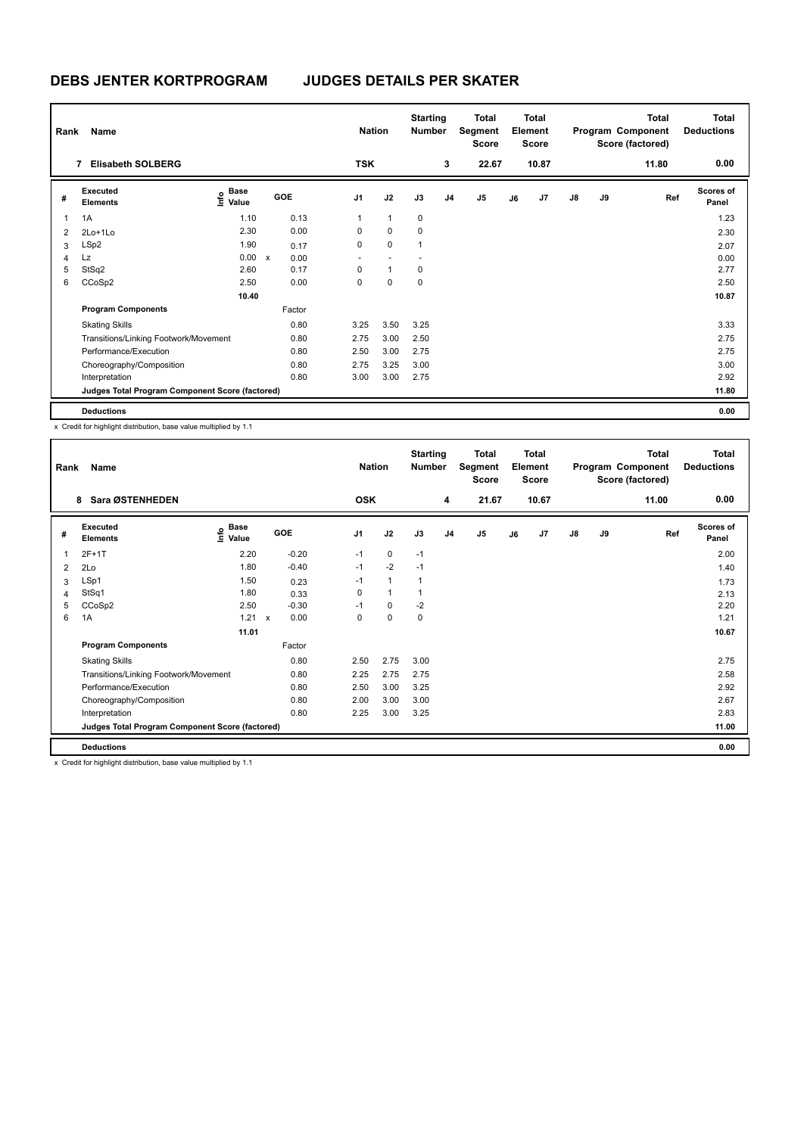| Rank | Name                                            |                                           |              |            | <b>Nation</b>  |              | <b>Starting</b><br><b>Number</b> |                | Total<br>Segment<br><b>Score</b> |    | <b>Total</b><br>Element<br><b>Score</b> |               |    | <b>Total</b><br>Program Component<br>Score (factored) | <b>Total</b><br><b>Deductions</b> |
|------|-------------------------------------------------|-------------------------------------------|--------------|------------|----------------|--------------|----------------------------------|----------------|----------------------------------|----|-----------------------------------------|---------------|----|-------------------------------------------------------|-----------------------------------|
|      | <b>Elisabeth SOLBERG</b><br>7                   |                                           |              |            | <b>TSK</b>     |              |                                  | 3              | 22.67                            |    | 10.87                                   |               |    | 11.80                                                 | 0.00                              |
| #    | Executed<br><b>Elements</b>                     | $\frac{e}{E}$ Base<br>$\frac{e}{E}$ Value |              | <b>GOE</b> | J <sub>1</sub> | J2           | J3                               | J <sub>4</sub> | J <sub>5</sub>                   | J6 | J7                                      | $\mathsf{J}8$ | J9 | Ref                                                   | <b>Scores of</b><br>Panel         |
| 1    | 1A                                              | 1.10                                      |              | 0.13       | $\mathbf{1}$   | $\mathbf{1}$ | 0                                |                |                                  |    |                                         |               |    |                                                       | 1.23                              |
| 2    | $2Lo+1Lo$                                       | 2.30                                      |              | 0.00       | 0              | $\mathbf 0$  | $\mathbf 0$                      |                |                                  |    |                                         |               |    |                                                       | 2.30                              |
| 3    | LSp2                                            | 1.90                                      |              | 0.17       | 0              | $\mathbf 0$  | 1                                |                |                                  |    |                                         |               |    |                                                       | 2.07                              |
| 4    | Lz                                              | 0.00                                      | $\mathsf{x}$ | 0.00       | ٠              |              |                                  |                |                                  |    |                                         |               |    |                                                       | 0.00                              |
| 5    | StSq2                                           | 2.60                                      |              | 0.17       | $\Omega$       | $\mathbf{1}$ | 0                                |                |                                  |    |                                         |               |    |                                                       | 2.77                              |
| 6    | CCoSp2                                          | 2.50                                      |              | 0.00       | 0              | $\mathbf 0$  | $\mathbf 0$                      |                |                                  |    |                                         |               |    |                                                       | 2.50                              |
|      |                                                 | 10.40                                     |              |            |                |              |                                  |                |                                  |    |                                         |               |    |                                                       | 10.87                             |
|      | <b>Program Components</b>                       |                                           |              | Factor     |                |              |                                  |                |                                  |    |                                         |               |    |                                                       |                                   |
|      | <b>Skating Skills</b>                           |                                           |              | 0.80       | 3.25           | 3.50         | 3.25                             |                |                                  |    |                                         |               |    |                                                       | 3.33                              |
|      | Transitions/Linking Footwork/Movement           |                                           |              | 0.80       | 2.75           | 3.00         | 2.50                             |                |                                  |    |                                         |               |    |                                                       | 2.75                              |
|      | Performance/Execution                           |                                           |              | 0.80       | 2.50           | 3.00         | 2.75                             |                |                                  |    |                                         |               |    |                                                       | 2.75                              |
|      | Choreography/Composition                        |                                           |              | 0.80       | 2.75           | 3.25         | 3.00                             |                |                                  |    |                                         |               |    |                                                       | 3.00                              |
|      | Interpretation                                  |                                           |              | 0.80       | 3.00           | 3.00         | 2.75                             |                |                                  |    |                                         |               |    |                                                       | 2.92                              |
|      | Judges Total Program Component Score (factored) |                                           |              |            |                |              |                                  |                |                                  |    |                                         |               |    |                                                       | 11.80                             |
|      | <b>Deductions</b>                               |                                           |              |            |                |              |                                  |                |                                  |    |                                         |               |    |                                                       | 0.00                              |

| Rank | Name<br>Sara ØSTENHEDEN<br>8                    |                                  |                      |                | <b>Nation</b> | <b>Starting</b><br><b>Number</b> |                | <b>Total</b><br>Segment<br><b>Score</b> |    | <b>Total</b><br>Element<br><b>Score</b> |               |    | <b>Total</b><br>Program Component<br>Score (factored) | Total<br><b>Deductions</b> |
|------|-------------------------------------------------|----------------------------------|----------------------|----------------|---------------|----------------------------------|----------------|-----------------------------------------|----|-----------------------------------------|---------------|----|-------------------------------------------------------|----------------------------|
|      |                                                 |                                  |                      | <b>OSK</b>     |               |                                  | 4              | 21.67                                   |    | 10.67                                   |               |    | 11.00                                                 | 0.00                       |
| #    | Executed<br><b>Elements</b>                     | <b>Base</b><br>e Base<br>E Value | GOE                  | J <sub>1</sub> | J2            | J3                               | J <sub>4</sub> | J <sub>5</sub>                          | J6 | J7                                      | $\mathsf{J}8$ | J9 | Ref                                                   | <b>Scores of</b><br>Panel  |
| 1    | $2F+1T$                                         | 2.20                             | $-0.20$              | $-1$           | $\mathbf 0$   | $-1$                             |                |                                         |    |                                         |               |    |                                                       | 2.00                       |
| 2    | 2Lo                                             | 1.80                             | $-0.40$              | $-1$           | $-2$          | $-1$                             |                |                                         |    |                                         |               |    |                                                       | 1.40                       |
| 3    | LSp1                                            | 1.50                             | 0.23                 | $-1$           | $\mathbf{1}$  | 1                                |                |                                         |    |                                         |               |    |                                                       | 1.73                       |
| 4    | StSq1                                           | 1.80                             | 0.33                 | 0              | $\mathbf{1}$  | $\mathbf{1}$                     |                |                                         |    |                                         |               |    |                                                       | 2.13                       |
| 5    | CCoSp2                                          | 2.50                             | $-0.30$              | $-1$           | $\mathbf 0$   | $-2$                             |                |                                         |    |                                         |               |    |                                                       | 2.20                       |
| 6    | 1A                                              | 1.21                             | 0.00<br>$\mathsf{x}$ | 0              | $\mathbf 0$   | 0                                |                |                                         |    |                                         |               |    |                                                       | 1.21                       |
|      |                                                 | 11.01                            |                      |                |               |                                  |                |                                         |    |                                         |               |    |                                                       | 10.67                      |
|      | <b>Program Components</b>                       |                                  | Factor               |                |               |                                  |                |                                         |    |                                         |               |    |                                                       |                            |
|      | <b>Skating Skills</b>                           |                                  | 0.80                 | 2.50           | 2.75          | 3.00                             |                |                                         |    |                                         |               |    |                                                       | 2.75                       |
|      | Transitions/Linking Footwork/Movement           |                                  | 0.80                 | 2.25           | 2.75          | 2.75                             |                |                                         |    |                                         |               |    |                                                       | 2.58                       |
|      | Performance/Execution                           |                                  | 0.80                 | 2.50           | 3.00          | 3.25                             |                |                                         |    |                                         |               |    |                                                       | 2.92                       |
|      | Choreography/Composition                        |                                  | 0.80                 | 2.00           | 3.00          | 3.00                             |                |                                         |    |                                         |               |    |                                                       | 2.67                       |
|      | Interpretation                                  |                                  | 0.80                 | 2.25           | 3.00          | 3.25                             |                |                                         |    |                                         |               |    |                                                       | 2.83                       |
|      | Judges Total Program Component Score (factored) |                                  |                      |                |               |                                  |                |                                         |    |                                         |               |    |                                                       | 11.00                      |
|      | <b>Deductions</b>                               |                                  |                      |                |               |                                  |                |                                         |    |                                         |               |    |                                                       | 0.00                       |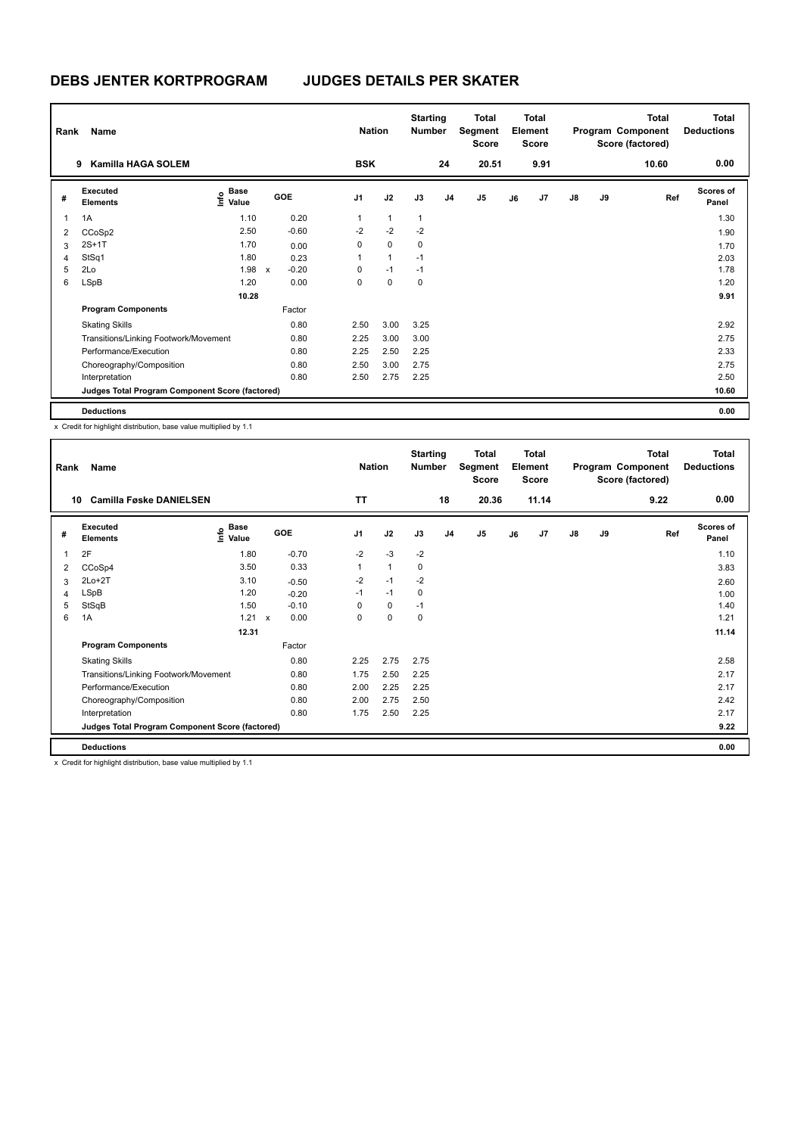| Rank | <b>Name</b>                                     |                           |                         |      | <b>Nation</b>  |                | <b>Starting</b><br><b>Number</b> |                | <b>Total</b><br>Segment<br><b>Score</b> |    | <b>Total</b><br>Element<br><b>Score</b> |               |    | <b>Total</b><br>Program Component<br>Score (factored) | <b>Total</b><br><b>Deductions</b> |
|------|-------------------------------------------------|---------------------------|-------------------------|------|----------------|----------------|----------------------------------|----------------|-----------------------------------------|----|-----------------------------------------|---------------|----|-------------------------------------------------------|-----------------------------------|
|      | Kamilla HAGA SOLEM<br>9                         |                           |                         |      | <b>BSK</b>     |                |                                  | 24             | 20.51                                   |    | 9.91                                    |               |    | 10.60                                                 | 0.00                              |
| #    | Executed<br><b>Elements</b>                     | Base<br>e Base<br>⊆ Value | <b>GOE</b>              |      | J <sub>1</sub> | J2             | J3                               | J <sub>4</sub> | J <sub>5</sub>                          | J6 | J7                                      | $\mathsf{J}8$ | J9 | Ref                                                   | <b>Scores of</b><br>Panel         |
| 1    | 1A                                              | 1.10                      | 0.20                    |      | $\mathbf{1}$   | $\mathbf{1}$   | $\overline{1}$                   |                |                                         |    |                                         |               |    |                                                       | 1.30                              |
| 2    | CCoSp2                                          | 2.50                      | $-0.60$                 |      | $-2$           | $-2$           | $-2$                             |                |                                         |    |                                         |               |    |                                                       | 1.90                              |
| 3    | $2S+1T$                                         | 1.70                      | 0.00                    |      | 0              | $\mathbf 0$    | 0                                |                |                                         |    |                                         |               |    |                                                       | 1.70                              |
| 4    | StSq1                                           | 1.80                      | 0.23                    |      |                | $\overline{1}$ | $-1$                             |                |                                         |    |                                         |               |    |                                                       | 2.03                              |
| 5    | 2Lo                                             | 1.98                      | $-0.20$<br>$\mathsf{x}$ |      | $\Omega$       | $-1$           | $-1$                             |                |                                         |    |                                         |               |    |                                                       | 1.78                              |
| 6    | <b>LSpB</b>                                     | 1.20                      |                         | 0.00 | 0              | $\mathbf 0$    | 0                                |                |                                         |    |                                         |               |    |                                                       | 1.20                              |
|      |                                                 | 10.28                     |                         |      |                |                |                                  |                |                                         |    |                                         |               |    |                                                       | 9.91                              |
|      | <b>Program Components</b>                       |                           | Factor                  |      |                |                |                                  |                |                                         |    |                                         |               |    |                                                       |                                   |
|      | <b>Skating Skills</b>                           |                           | 0.80                    |      | 2.50           | 3.00           | 3.25                             |                |                                         |    |                                         |               |    |                                                       | 2.92                              |
|      | Transitions/Linking Footwork/Movement           |                           | 0.80                    |      | 2.25           | 3.00           | 3.00                             |                |                                         |    |                                         |               |    |                                                       | 2.75                              |
|      | Performance/Execution                           |                           | 0.80                    |      | 2.25           | 2.50           | 2.25                             |                |                                         |    |                                         |               |    |                                                       | 2.33                              |
|      | Choreography/Composition                        |                           | 0.80                    |      | 2.50           | 3.00           | 2.75                             |                |                                         |    |                                         |               |    |                                                       | 2.75                              |
|      | Interpretation                                  |                           |                         | 0.80 | 2.50           | 2.75           | 2.25                             |                |                                         |    |                                         |               |    |                                                       | 2.50                              |
|      | Judges Total Program Component Score (factored) |                           |                         |      |                |                |                                  |                |                                         |    |                                         |               |    |                                                       | 10.60                             |
|      | <b>Deductions</b>                               |                           |                         |      |                |                |                                  |                |                                         |    |                                         |               |    |                                                       | 0.00                              |

| Rank<br>10 | Name<br><b>Camilla Føske DANIELSEN</b>          |                                  |                      | <b>Nation</b><br><b>TT</b> |              | <b>Starting</b><br><b>Number</b> | 18             | <b>Total</b><br>Segment<br><b>Score</b><br>20.36 |    | <b>Total</b><br>Element<br><b>Score</b><br>11.14 |               |    | <b>Total</b><br>Program Component<br>Score (factored)<br>9.22 | <b>Total</b><br><b>Deductions</b><br>0.00 |
|------------|-------------------------------------------------|----------------------------------|----------------------|----------------------------|--------------|----------------------------------|----------------|--------------------------------------------------|----|--------------------------------------------------|---------------|----|---------------------------------------------------------------|-------------------------------------------|
|            |                                                 |                                  |                      |                            |              |                                  |                |                                                  |    |                                                  |               |    |                                                               |                                           |
| #          | Executed<br><b>Elements</b>                     | <b>Base</b><br>e Base<br>E Value | GOE                  | J <sub>1</sub>             | J2           | J3                               | J <sub>4</sub> | J <sub>5</sub>                                   | J6 | J7                                               | $\mathsf{J}8$ | J9 | Ref                                                           | Scores of<br>Panel                        |
| 1          | 2F                                              | 1.80                             | $-0.70$              | $-2$                       | $-3$         | $-2$                             |                |                                                  |    |                                                  |               |    |                                                               | 1.10                                      |
| 2          | CCoSp4                                          | 3.50                             | 0.33                 | 1                          | $\mathbf{1}$ | 0                                |                |                                                  |    |                                                  |               |    |                                                               | 3.83                                      |
| 3          | $2Lo+2T$                                        | 3.10                             | $-0.50$              | $-2$                       | $-1$         | $-2$                             |                |                                                  |    |                                                  |               |    |                                                               | 2.60                                      |
| 4          | LSpB                                            | 1.20                             | $-0.20$              | $-1$                       | $-1$         | 0                                |                |                                                  |    |                                                  |               |    |                                                               | 1.00                                      |
| 5          | StSqB                                           | 1.50                             | $-0.10$              | $\Omega$                   | 0            | $-1$                             |                |                                                  |    |                                                  |               |    |                                                               | 1.40                                      |
| 6          | 1A                                              | 1.21                             | 0.00<br>$\mathsf{x}$ | 0                          | 0            | 0                                |                |                                                  |    |                                                  |               |    |                                                               | 1.21                                      |
|            |                                                 | 12.31                            |                      |                            |              |                                  |                |                                                  |    |                                                  |               |    |                                                               | 11.14                                     |
|            | <b>Program Components</b>                       |                                  | Factor               |                            |              |                                  |                |                                                  |    |                                                  |               |    |                                                               |                                           |
|            | <b>Skating Skills</b>                           |                                  | 0.80                 | 2.25                       | 2.75         | 2.75                             |                |                                                  |    |                                                  |               |    |                                                               | 2.58                                      |
|            | Transitions/Linking Footwork/Movement           |                                  | 0.80                 | 1.75                       | 2.50         | 2.25                             |                |                                                  |    |                                                  |               |    |                                                               | 2.17                                      |
|            | Performance/Execution                           |                                  | 0.80                 | 2.00                       | 2.25         | 2.25                             |                |                                                  |    |                                                  |               |    |                                                               | 2.17                                      |
|            | Choreography/Composition                        |                                  | 0.80                 | 2.00                       | 2.75         | 2.50                             |                |                                                  |    |                                                  |               |    |                                                               | 2.42                                      |
|            | Interpretation                                  |                                  | 0.80                 | 1.75                       | 2.50         | 2.25                             |                |                                                  |    |                                                  |               |    |                                                               | 2.17                                      |
|            | Judges Total Program Component Score (factored) |                                  |                      |                            |              |                                  |                |                                                  |    |                                                  |               |    |                                                               | 9.22                                      |
|            | <b>Deductions</b>                               |                                  |                      |                            |              |                                  |                |                                                  |    |                                                  |               |    |                                                               | 0.00                                      |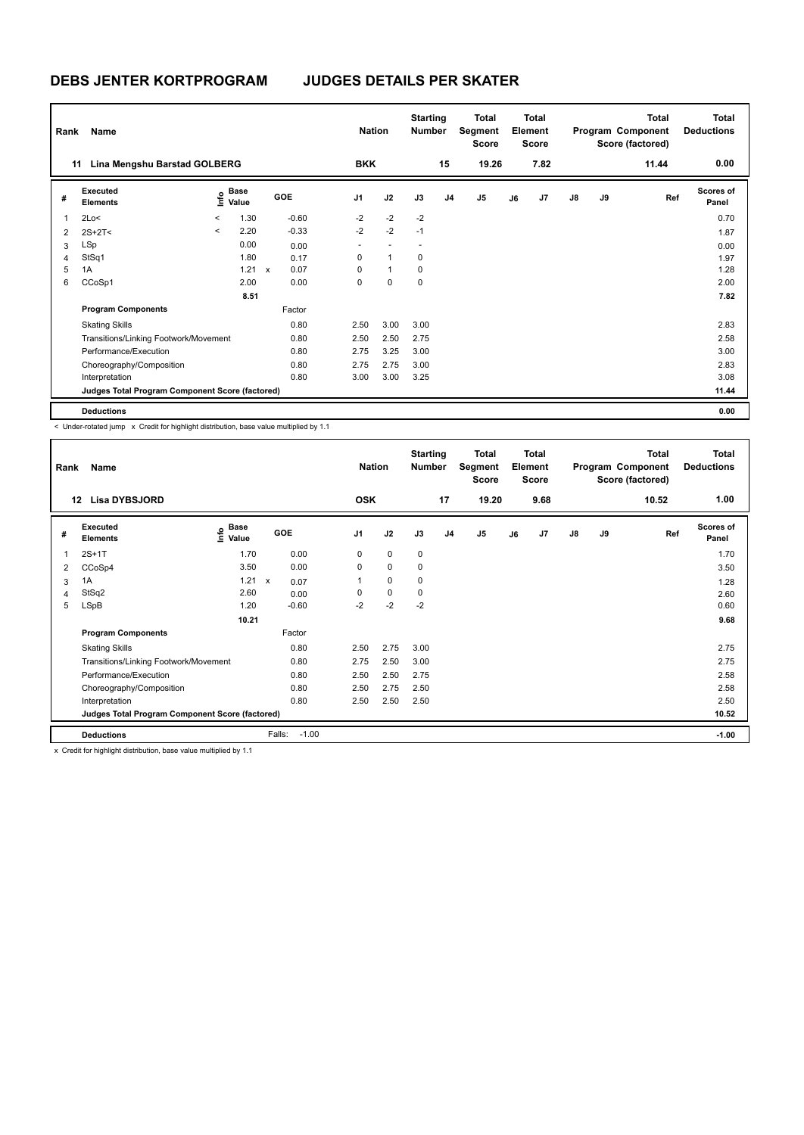|   | Name<br>Rank<br>Lina Mengshu Barstad GOLBERG<br>11 |              |                             |  |            |                | <b>Nation</b> | <b>Starting</b><br><b>Number</b> |                | Total<br>Segment<br><b>Score</b> |    | <b>Total</b><br>Element<br><b>Score</b> |               |    | <b>Total</b><br>Program Component<br>Score (factored) | Total<br><b>Deductions</b> |
|---|----------------------------------------------------|--------------|-----------------------------|--|------------|----------------|---------------|----------------------------------|----------------|----------------------------------|----|-----------------------------------------|---------------|----|-------------------------------------------------------|----------------------------|
|   |                                                    |              |                             |  |            | <b>BKK</b>     |               |                                  | 15             | 19.26                            |    | 7.82                                    |               |    | 11.44                                                 | 0.00                       |
| # | Executed<br><b>Elements</b>                        |              | $\sum_{k=1}^{\infty}$ Value |  | <b>GOE</b> | J <sub>1</sub> | J2            | J3                               | J <sub>4</sub> | J <sub>5</sub>                   | J6 | J7                                      | $\mathsf{J}8$ | J9 | Ref                                                   | <b>Scores of</b><br>Panel  |
| 1 | 2Lo<                                               | $\,<\,$      | 1.30                        |  | $-0.60$    | $-2$           | $-2$          | $-2$                             |                |                                  |    |                                         |               |    |                                                       | 0.70                       |
| 2 | $2S+2T<$                                           | $\checkmark$ | 2.20                        |  | $-0.33$    | $-2$           | $-2$          | $-1$                             |                |                                  |    |                                         |               |    |                                                       | 1.87                       |
| 3 | LSp                                                |              | 0.00                        |  | 0.00       | ٠              |               |                                  |                |                                  |    |                                         |               |    |                                                       | 0.00                       |
| 4 | StSq1                                              |              | 1.80                        |  | 0.17       | 0              | $\mathbf{1}$  | 0                                |                |                                  |    |                                         |               |    |                                                       | 1.97                       |
| 5 | 1A                                                 |              | $1.21 \times$               |  | 0.07       | $\Omega$       | $\mathbf{1}$  | 0                                |                |                                  |    |                                         |               |    |                                                       | 1.28                       |
| 6 | CCoSp1                                             |              | 2.00                        |  | 0.00       | 0              | $\mathbf 0$   | $\mathbf 0$                      |                |                                  |    |                                         |               |    |                                                       | 2.00                       |
|   |                                                    |              | 8.51                        |  |            |                |               |                                  |                |                                  |    |                                         |               |    |                                                       | 7.82                       |
|   | <b>Program Components</b>                          |              |                             |  | Factor     |                |               |                                  |                |                                  |    |                                         |               |    |                                                       |                            |
|   | <b>Skating Skills</b>                              |              |                             |  | 0.80       | 2.50           | 3.00          | 3.00                             |                |                                  |    |                                         |               |    |                                                       | 2.83                       |
|   | Transitions/Linking Footwork/Movement              |              |                             |  | 0.80       | 2.50           | 2.50          | 2.75                             |                |                                  |    |                                         |               |    |                                                       | 2.58                       |
|   | Performance/Execution                              |              |                             |  | 0.80       | 2.75           | 3.25          | 3.00                             |                |                                  |    |                                         |               |    |                                                       | 3.00                       |
|   | Choreography/Composition                           |              |                             |  | 0.80       | 2.75           | 2.75          | 3.00                             |                |                                  |    |                                         |               |    |                                                       | 2.83                       |
|   | Interpretation                                     |              |                             |  | 0.80       | 3.00           | 3.00          | 3.25                             |                |                                  |    |                                         |               |    |                                                       | 3.08                       |
|   | Judges Total Program Component Score (factored)    |              |                             |  |            |                |               |                                  |                |                                  |    |                                         |               |    |                                                       | 11.44                      |
|   | <b>Deductions</b>                                  |              |                             |  |            |                |               |                                  |                |                                  |    |                                         |               |    |                                                       | 0.00                       |

< Under-rotated jump x Credit for highlight distribution, base value multiplied by 1.1

| Rank | Name                                            |                                           |                                   | <b>Nation</b>  |             | <b>Starting</b><br><b>Number</b> |                | <b>Total</b><br>Segment<br>Score |    | <b>Total</b><br>Element<br><b>Score</b> |               |    | <b>Total</b><br>Program Component<br>Score (factored) | <b>Total</b><br><b>Deductions</b> |
|------|-------------------------------------------------|-------------------------------------------|-----------------------------------|----------------|-------------|----------------------------------|----------------|----------------------------------|----|-----------------------------------------|---------------|----|-------------------------------------------------------|-----------------------------------|
|      | <b>Lisa DYBSJORD</b><br>12                      |                                           |                                   | <b>OSK</b>     |             |                                  | 17             | 19.20                            |    | 9.68                                    |               |    | 10.52                                                 | 1.00                              |
| #    | Executed<br><b>Elements</b>                     | $\frac{6}{5}$ Base<br>$\frac{1}{5}$ Value | GOE                               | J <sub>1</sub> | J2          | J3                               | J <sub>4</sub> | J <sub>5</sub>                   | J6 | J <sub>7</sub>                          | $\mathsf{J}8$ | J9 | Ref                                                   | <b>Scores of</b><br>Panel         |
|      | $2S+1T$                                         | 1.70                                      | 0.00                              | 0              | $\mathbf 0$ | $\mathbf 0$                      |                |                                  |    |                                         |               |    |                                                       | 1.70                              |
| 2    | CCoSp4                                          | 3.50                                      | 0.00                              | 0              | $\mathbf 0$ | 0                                |                |                                  |    |                                         |               |    |                                                       | 3.50                              |
| 3    | 1A                                              | 1.21                                      | $\boldsymbol{\mathsf{x}}$<br>0.07 |                | $\mathbf 0$ | $\mathbf 0$                      |                |                                  |    |                                         |               |    |                                                       | 1.28                              |
| 4    | StSq2                                           | 2.60                                      | 0.00                              | 0              | $\mathbf 0$ | 0                                |                |                                  |    |                                         |               |    |                                                       | 2.60                              |
| 5    | LSpB                                            | 1.20                                      | $-0.60$                           | $-2$           | $-2$        | $-2$                             |                |                                  |    |                                         |               |    |                                                       | 0.60                              |
|      |                                                 | 10.21                                     |                                   |                |             |                                  |                |                                  |    |                                         |               |    |                                                       | 9.68                              |
|      | <b>Program Components</b>                       |                                           | Factor                            |                |             |                                  |                |                                  |    |                                         |               |    |                                                       |                                   |
|      | <b>Skating Skills</b>                           |                                           | 0.80                              | 2.50           | 2.75        | 3.00                             |                |                                  |    |                                         |               |    |                                                       | 2.75                              |
|      | Transitions/Linking Footwork/Movement           |                                           | 0.80                              | 2.75           | 2.50        | 3.00                             |                |                                  |    |                                         |               |    |                                                       | 2.75                              |
|      | Performance/Execution                           |                                           | 0.80                              | 2.50           | 2.50        | 2.75                             |                |                                  |    |                                         |               |    |                                                       | 2.58                              |
|      | Choreography/Composition                        |                                           | 0.80                              | 2.50           | 2.75        | 2.50                             |                |                                  |    |                                         |               |    |                                                       | 2.58                              |
|      | Interpretation                                  |                                           | 0.80                              | 2.50           | 2.50        | 2.50                             |                |                                  |    |                                         |               |    |                                                       | 2.50                              |
|      | Judges Total Program Component Score (factored) |                                           |                                   |                |             |                                  |                |                                  |    |                                         |               |    |                                                       | 10.52                             |
|      | <b>Deductions</b>                               |                                           | Falls:<br>$-1.00$                 |                |             |                                  |                |                                  |    |                                         |               |    |                                                       | $-1.00$                           |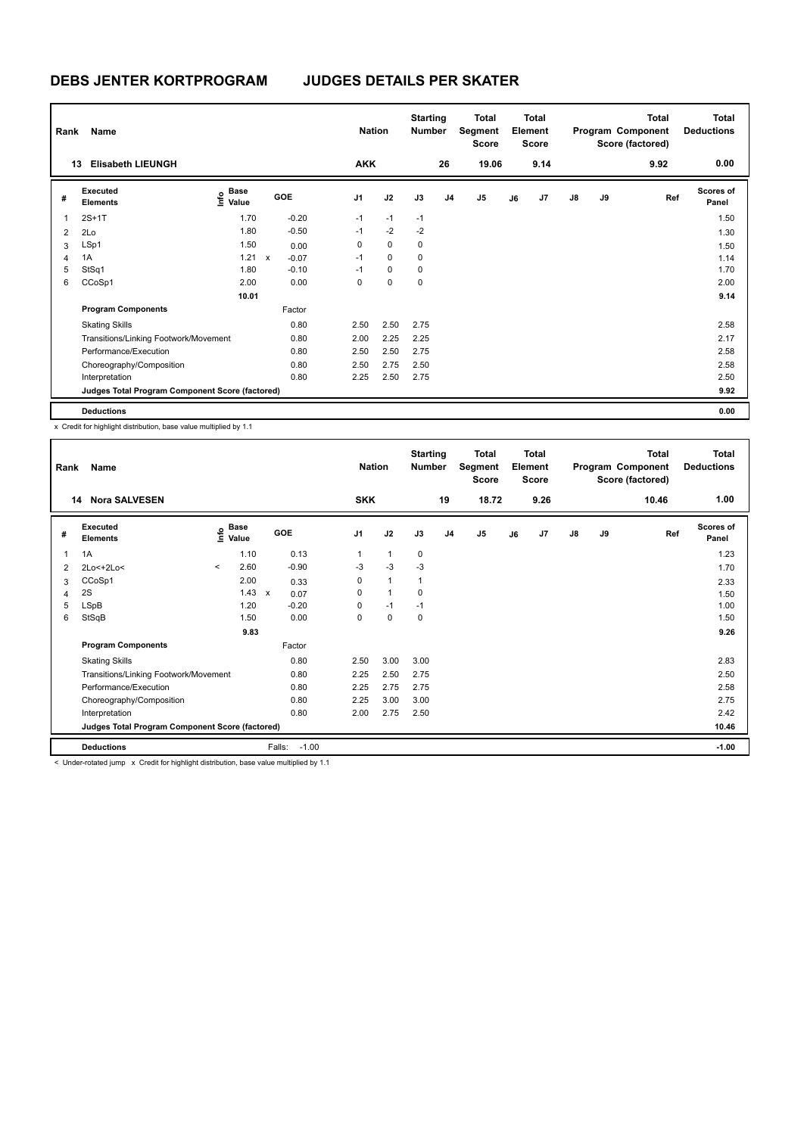| Rank | Name                                            |                                           |              |         | <b>Nation</b>  |             | <b>Starting</b><br><b>Number</b> |                | Total<br>Segment<br><b>Score</b> |    | <b>Total</b><br>Element<br><b>Score</b> |               |    | <b>Total</b><br>Program Component<br>Score (factored) | <b>Total</b><br><b>Deductions</b> |
|------|-------------------------------------------------|-------------------------------------------|--------------|---------|----------------|-------------|----------------------------------|----------------|----------------------------------|----|-----------------------------------------|---------------|----|-------------------------------------------------------|-----------------------------------|
| 13   | <b>Elisabeth LIEUNGH</b>                        |                                           |              |         | <b>AKK</b>     |             |                                  | 26             | 19.06                            |    | 9.14                                    |               |    | 9.92                                                  | 0.00                              |
| #    | Executed<br><b>Elements</b>                     | $\frac{e}{E}$ Base<br>$\frac{e}{E}$ Value | <b>GOE</b>   |         | J <sub>1</sub> | J2          | J3                               | J <sub>4</sub> | J <sub>5</sub>                   | J6 | J7                                      | $\mathsf{J}8$ | J9 | Ref                                                   | <b>Scores of</b><br>Panel         |
| 1    | $2S+1T$                                         | 1.70                                      |              | $-0.20$ | $-1$           | $-1$        | $-1$                             |                |                                  |    |                                         |               |    |                                                       | 1.50                              |
| 2    | 2Lo                                             | 1.80                                      |              | $-0.50$ | $-1$           | $-2$        | $-2$                             |                |                                  |    |                                         |               |    |                                                       | 1.30                              |
| 3    | LSp1                                            | 1.50                                      |              | 0.00    | 0              | $\mathbf 0$ | 0                                |                |                                  |    |                                         |               |    |                                                       | 1.50                              |
| 4    | 1A                                              | 1.21                                      | $\mathsf{x}$ | $-0.07$ | $-1$           | $\mathbf 0$ | 0                                |                |                                  |    |                                         |               |    |                                                       | 1.14                              |
| 5    | StSq1                                           | 1.80                                      |              | $-0.10$ | $-1$           | 0           | 0                                |                |                                  |    |                                         |               |    |                                                       | 1.70                              |
| 6    | CCoSp1                                          | 2.00                                      |              | 0.00    | 0              | $\mathbf 0$ | $\mathbf 0$                      |                |                                  |    |                                         |               |    |                                                       | 2.00                              |
|      |                                                 | 10.01                                     |              |         |                |             |                                  |                |                                  |    |                                         |               |    |                                                       | 9.14                              |
|      | <b>Program Components</b>                       |                                           |              | Factor  |                |             |                                  |                |                                  |    |                                         |               |    |                                                       |                                   |
|      | <b>Skating Skills</b>                           |                                           |              | 0.80    | 2.50           | 2.50        | 2.75                             |                |                                  |    |                                         |               |    |                                                       | 2.58                              |
|      | Transitions/Linking Footwork/Movement           |                                           |              | 0.80    | 2.00           | 2.25        | 2.25                             |                |                                  |    |                                         |               |    |                                                       | 2.17                              |
|      | Performance/Execution                           |                                           |              | 0.80    | 2.50           | 2.50        | 2.75                             |                |                                  |    |                                         |               |    |                                                       | 2.58                              |
|      | Choreography/Composition                        |                                           |              | 0.80    | 2.50           | 2.75        | 2.50                             |                |                                  |    |                                         |               |    |                                                       | 2.58                              |
|      | Interpretation                                  |                                           |              | 0.80    | 2.25           | 2.50        | 2.75                             |                |                                  |    |                                         |               |    |                                                       | 2.50                              |
|      | Judges Total Program Component Score (factored) |                                           |              |         |                |             |                                  |                |                                  |    |                                         |               |    |                                                       | 9.92                              |
|      | <b>Deductions</b>                               |                                           |              |         |                |             |                                  |                |                                  |    |                                         |               |    |                                                       | 0.00                              |

| Rank | Name                                                                                              |                                  |               |         | <b>Nation</b>  |              | <b>Starting</b><br><b>Number</b> |                | <b>Total</b><br>Segment<br><b>Score</b> |    | <b>Total</b><br>Element<br><b>Score</b> |               |    | <b>Total</b><br>Program Component<br>Score (factored) | <b>Total</b><br><b>Deductions</b> |
|------|---------------------------------------------------------------------------------------------------|----------------------------------|---------------|---------|----------------|--------------|----------------------------------|----------------|-----------------------------------------|----|-----------------------------------------|---------------|----|-------------------------------------------------------|-----------------------------------|
| 14   | <b>Nora SALVESEN</b>                                                                              |                                  |               |         | <b>SKK</b>     |              |                                  | 19             | 18.72                                   |    | 9.26                                    |               |    | 10.46                                                 | 1.00                              |
| #    | Executed<br><b>Elements</b>                                                                       | <b>Base</b><br>e Base<br>⊆ Value |               | GOE     | J <sub>1</sub> | J2           | J3                               | J <sub>4</sub> | J <sub>5</sub>                          | J6 | J <sub>7</sub>                          | $\mathsf{J}8$ | J9 | Ref                                                   | <b>Scores of</b><br>Panel         |
| 1    | 1A                                                                                                | 1.10                             |               | 0.13    |                | $\mathbf{1}$ | 0                                |                |                                         |    |                                         |               |    |                                                       | 1.23                              |
| 2    | 2Lo<+2Lo<                                                                                         | 2.60<br>$\hat{\phantom{a}}$      |               | $-0.90$ | -3             | $-3$         | $-3$                             |                |                                         |    |                                         |               |    |                                                       | 1.70                              |
| 3    | CCoSp1                                                                                            | 2.00                             |               | 0.33    | 0              | $\mathbf{1}$ | -1                               |                |                                         |    |                                         |               |    |                                                       | 2.33                              |
| 4    | 2S                                                                                                |                                  | $1.43 \times$ | 0.07    | 0              | $\mathbf{1}$ | 0                                |                |                                         |    |                                         |               |    |                                                       | 1.50                              |
| 5    | LSpB                                                                                              | 1.20                             |               | $-0.20$ | 0              | $-1$         | $-1$                             |                |                                         |    |                                         |               |    |                                                       | 1.00                              |
| 6    | StSqB                                                                                             | 1.50                             |               | 0.00    | 0              | 0            | 0                                |                |                                         |    |                                         |               |    |                                                       | 1.50                              |
|      |                                                                                                   | 9.83                             |               |         |                |              |                                  |                |                                         |    |                                         |               |    |                                                       | 9.26                              |
|      | <b>Program Components</b>                                                                         |                                  |               | Factor  |                |              |                                  |                |                                         |    |                                         |               |    |                                                       |                                   |
|      | <b>Skating Skills</b>                                                                             |                                  |               | 0.80    | 2.50           | 3.00         | 3.00                             |                |                                         |    |                                         |               |    |                                                       | 2.83                              |
|      | Transitions/Linking Footwork/Movement                                                             |                                  |               | 0.80    | 2.25           | 2.50         | 2.75                             |                |                                         |    |                                         |               |    |                                                       | 2.50                              |
|      | Performance/Execution                                                                             |                                  |               | 0.80    | 2.25           | 2.75         | 2.75                             |                |                                         |    |                                         |               |    |                                                       | 2.58                              |
|      | Choreography/Composition                                                                          |                                  |               | 0.80    | 2.25           | 3.00         | 3.00                             |                |                                         |    |                                         |               |    |                                                       | 2.75                              |
|      | Interpretation                                                                                    |                                  |               | 0.80    | 2.00           | 2.75         | 2.50                             |                |                                         |    |                                         |               |    |                                                       | 2.42                              |
|      | Judges Total Program Component Score (factored)                                                   |                                  |               |         |                |              |                                  |                |                                         |    |                                         |               |    |                                                       | 10.46                             |
|      | <b>Deductions</b>                                                                                 |                                  | Falls:        | $-1.00$ |                |              |                                  |                |                                         |    |                                         |               |    |                                                       | $-1.00$                           |
|      | $\sim$ Under retated jump $\sim$ Credit for bighlight distribution, base value multiplied by 1.1. |                                  |               |         |                |              |                                  |                |                                         |    |                                         |               |    |                                                       |                                   |

Under-rotated jump  $x$  Credit for highlight distribution, base value multiplied by 1.1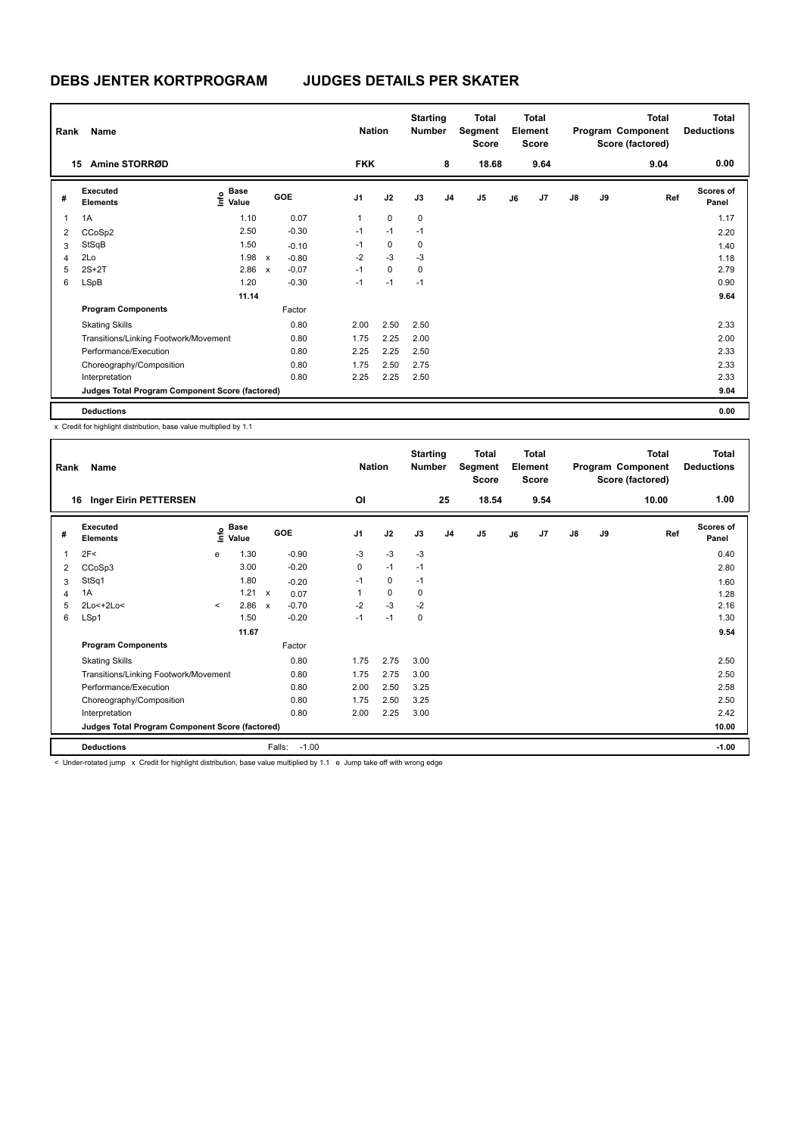| Rank | Name                                            |                           |              |         | <b>Nation</b>  |             | <b>Starting</b><br><b>Number</b> |                | <b>Total</b><br>Segment<br>Score |    | <b>Total</b><br>Element<br><b>Score</b> |               |    | <b>Total</b><br>Program Component<br>Score (factored) | <b>Total</b><br><b>Deductions</b> |
|------|-------------------------------------------------|---------------------------|--------------|---------|----------------|-------------|----------------------------------|----------------|----------------------------------|----|-----------------------------------------|---------------|----|-------------------------------------------------------|-----------------------------------|
| 15   | Amine STORRØD                                   |                           |              |         | <b>FKK</b>     |             |                                  | 8              | 18.68                            |    | 9.64                                    |               |    | 9.04                                                  | 0.00                              |
| #    | <b>Executed</b><br><b>Elements</b>              | Base<br>e Base<br>⊆ Value |              | GOE     | J <sub>1</sub> | J2          | J3                               | J <sub>4</sub> | J <sub>5</sub>                   | J6 | J7                                      | $\mathsf{J}8$ | J9 | Ref                                                   | <b>Scores of</b><br>Panel         |
| 1    | 1A                                              | 1.10                      |              | 0.07    | $\mathbf{1}$   | $\mathbf 0$ | 0                                |                |                                  |    |                                         |               |    |                                                       | 1.17                              |
| 2    | CCoSp2                                          | 2.50                      |              | $-0.30$ | $-1$           | $-1$        | $-1$                             |                |                                  |    |                                         |               |    |                                                       | 2.20                              |
| 3    | StSqB                                           | 1.50                      |              | $-0.10$ | $-1$           | 0           | 0                                |                |                                  |    |                                         |               |    |                                                       | 1.40                              |
| 4    | 2Lo                                             | 1.98                      | $\mathsf{x}$ | $-0.80$ | $-2$           | $-3$        | $-3$                             |                |                                  |    |                                         |               |    |                                                       | 1.18                              |
| 5    | $2S+2T$                                         | 2.86                      | $\mathsf{x}$ | $-0.07$ | $-1$           | $\mathbf 0$ | 0                                |                |                                  |    |                                         |               |    |                                                       | 2.79                              |
| 6    | LSpB                                            | 1.20                      |              | $-0.30$ | $-1$           | $-1$        | $-1$                             |                |                                  |    |                                         |               |    |                                                       | 0.90                              |
|      |                                                 | 11.14                     |              |         |                |             |                                  |                |                                  |    |                                         |               |    |                                                       | 9.64                              |
|      | <b>Program Components</b>                       |                           |              | Factor  |                |             |                                  |                |                                  |    |                                         |               |    |                                                       |                                   |
|      | <b>Skating Skills</b>                           |                           |              | 0.80    | 2.00           | 2.50        | 2.50                             |                |                                  |    |                                         |               |    |                                                       | 2.33                              |
|      | Transitions/Linking Footwork/Movement           |                           |              | 0.80    | 1.75           | 2.25        | 2.00                             |                |                                  |    |                                         |               |    |                                                       | 2.00                              |
|      | Performance/Execution                           |                           |              | 0.80    | 2.25           | 2.25        | 2.50                             |                |                                  |    |                                         |               |    |                                                       | 2.33                              |
|      | Choreography/Composition                        |                           |              | 0.80    | 1.75           | 2.50        | 2.75                             |                |                                  |    |                                         |               |    |                                                       | 2.33                              |
|      | Interpretation                                  |                           |              | 0.80    | 2.25           | 2.25        | 2.50                             |                |                                  |    |                                         |               |    |                                                       | 2.33                              |
|      | Judges Total Program Component Score (factored) |                           |              |         |                |             |                                  |                |                                  |    |                                         |               |    |                                                       | 9.04                              |
|      | <b>Deductions</b>                               |                           |              |         |                |             |                                  |                |                                  |    |                                         |               |    |                                                       | 0.00                              |

| Rank | Name                                            |         |                      |                           |         | <b>Nation</b>  |             | <b>Starting</b><br><b>Number</b> |                | <b>Total</b><br>Segment<br><b>Score</b> |    | Total<br>Element<br><b>Score</b> |               |    | Total<br>Program Component<br>Score (factored) | <b>Total</b><br><b>Deductions</b> |
|------|-------------------------------------------------|---------|----------------------|---------------------------|---------|----------------|-------------|----------------------------------|----------------|-----------------------------------------|----|----------------------------------|---------------|----|------------------------------------------------|-----------------------------------|
| 16   | <b>Inger Eirin PETTERSEN</b>                    |         |                      |                           |         | O <sub>l</sub> |             |                                  | 25             | 18.54                                   |    | 9.54                             |               |    | 10.00                                          | 1.00                              |
| #    | Executed<br><b>Elements</b>                     | ١nf٥    | <b>Base</b><br>Value |                           | GOE     | J <sub>1</sub> | J2          | J3                               | J <sub>4</sub> | J <sub>5</sub>                          | J6 | J7                               | $\mathsf{J}8$ | J9 | Ref                                            | <b>Scores of</b><br>Panel         |
| 1    | 2F<                                             | e       | 1.30                 |                           | $-0.90$ | -3             | $-3$        | -3                               |                |                                         |    |                                  |               |    |                                                | 0.40                              |
| 2    | CCoSp3                                          |         | 3.00                 |                           | $-0.20$ | 0              | $-1$        | $-1$                             |                |                                         |    |                                  |               |    |                                                | 2.80                              |
| 3    | StSq1                                           |         | 1.80                 |                           | $-0.20$ | $-1$           | 0           | $-1$                             |                |                                         |    |                                  |               |    |                                                | 1.60                              |
| 4    | 1A                                              |         | 1.21 x               |                           | 0.07    |                | $\mathbf 0$ | 0                                |                |                                         |    |                                  |               |    |                                                | 1.28                              |
| 5    | 2Lo<+2Lo<                                       | $\prec$ | 2.86                 | $\boldsymbol{\mathsf{x}}$ | $-0.70$ | $-2$           | $-3$        | $-2$                             |                |                                         |    |                                  |               |    |                                                | 2.16                              |
| 6    | LSp1                                            |         | 1.50                 |                           | $-0.20$ | $-1$           | $-1$        | 0                                |                |                                         |    |                                  |               |    |                                                | 1.30                              |
|      |                                                 |         | 11.67                |                           |         |                |             |                                  |                |                                         |    |                                  |               |    |                                                | 9.54                              |
|      | <b>Program Components</b>                       |         |                      |                           | Factor  |                |             |                                  |                |                                         |    |                                  |               |    |                                                |                                   |
|      | <b>Skating Skills</b>                           |         |                      |                           | 0.80    | 1.75           | 2.75        | 3.00                             |                |                                         |    |                                  |               |    |                                                | 2.50                              |
|      | Transitions/Linking Footwork/Movement           |         |                      |                           | 0.80    | 1.75           | 2.75        | 3.00                             |                |                                         |    |                                  |               |    |                                                | 2.50                              |
|      | Performance/Execution                           |         |                      |                           | 0.80    | 2.00           | 2.50        | 3.25                             |                |                                         |    |                                  |               |    |                                                | 2.58                              |
|      | Choreography/Composition                        |         |                      |                           | 0.80    | 1.75           | 2.50        | 3.25                             |                |                                         |    |                                  |               |    |                                                | 2.50                              |
|      | Interpretation                                  |         |                      |                           | 0.80    | 2.00           | 2.25        | 3.00                             |                |                                         |    |                                  |               |    |                                                | 2.42                              |
|      | Judges Total Program Component Score (factored) |         |                      |                           |         |                |             |                                  |                |                                         |    |                                  |               |    |                                                | 10.00                             |
|      | <b>Deductions</b>                               |         |                      | Falls:                    | $-1.00$ |                |             |                                  |                |                                         |    |                                  |               |    |                                                | $-1.00$                           |

< Under-rotated jump x Credit for highlight distribution, base value multiplied by 1.1 e Jump take off with wrong edge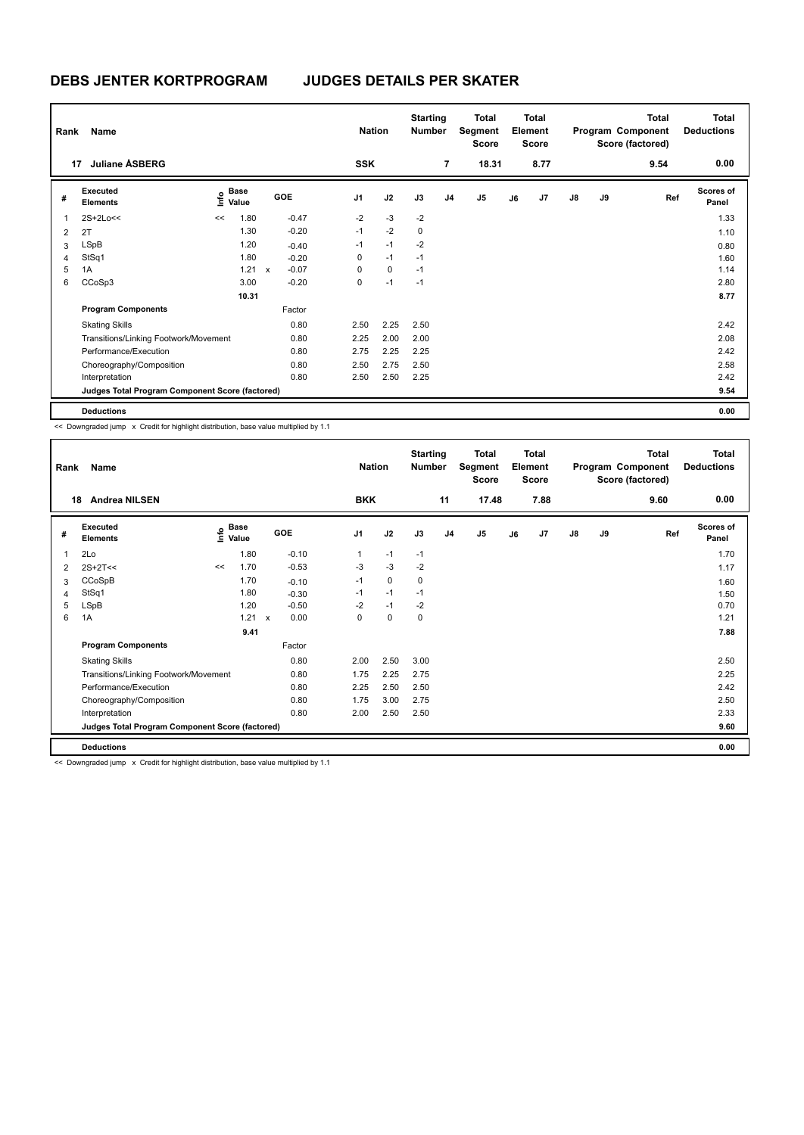| Rank           | Name                                            |                                           |        |         | <b>Nation</b>  |           | <b>Starting</b><br><b>Number</b> |                | <b>Total</b><br>Segment<br><b>Score</b> |    | Total<br>Element<br><b>Score</b> |    |    | Total<br>Program Component<br>Score (factored) | <b>Total</b><br><b>Deductions</b> |
|----------------|-------------------------------------------------|-------------------------------------------|--------|---------|----------------|-----------|----------------------------------|----------------|-----------------------------------------|----|----------------------------------|----|----|------------------------------------------------|-----------------------------------|
| 17             | <b>Juliane ASBERG</b>                           |                                           |        |         | <b>SSK</b>     |           |                                  | $\overline{7}$ | 18.31                                   |    | 8.77                             |    |    | 9.54                                           | 0.00                              |
| #              | Executed<br><b>Elements</b>                     | $\frac{e}{E}$ Base<br>$\frac{E}{E}$ Value |        | GOE     | J <sub>1</sub> | J2        | J3                               | J <sub>4</sub> | J5                                      | J6 | J7                               | J8 | J9 | Ref                                            | Scores of<br>Panel                |
|                | 2S+2Lo<<                                        | <<                                        | 1.80   | $-0.47$ | $-2$           | $-3$      | $-2$                             |                |                                         |    |                                  |    |    |                                                | 1.33                              |
| $\overline{2}$ | 2T                                              |                                           | 1.30   | $-0.20$ | $-1$           | $-2$      | 0                                |                |                                         |    |                                  |    |    |                                                | 1.10                              |
| 3              | <b>LSpB</b>                                     |                                           | 1.20   | $-0.40$ | $-1$           | $-1$      | $-2$                             |                |                                         |    |                                  |    |    |                                                | 0.80                              |
| 4              | StSq1                                           |                                           | 1.80   | $-0.20$ | 0              | $-1$      | $-1$                             |                |                                         |    |                                  |    |    |                                                | 1.60                              |
| 5              | 1A                                              |                                           | 1.21 x | $-0.07$ | 0              | $\pmb{0}$ | $-1$                             |                |                                         |    |                                  |    |    |                                                | 1.14                              |
| 6              | CCoSp3                                          |                                           | 3.00   | $-0.20$ | 0              | $-1$      | $-1$                             |                |                                         |    |                                  |    |    |                                                | 2.80                              |
|                |                                                 |                                           | 10.31  |         |                |           |                                  |                |                                         |    |                                  |    |    |                                                | 8.77                              |
|                | <b>Program Components</b>                       |                                           |        | Factor  |                |           |                                  |                |                                         |    |                                  |    |    |                                                |                                   |
|                | <b>Skating Skills</b>                           |                                           |        | 0.80    | 2.50           | 2.25      | 2.50                             |                |                                         |    |                                  |    |    |                                                | 2.42                              |
|                | Transitions/Linking Footwork/Movement           |                                           |        | 0.80    | 2.25           | 2.00      | 2.00                             |                |                                         |    |                                  |    |    |                                                | 2.08                              |
|                | Performance/Execution                           |                                           |        | 0.80    | 2.75           | 2.25      | 2.25                             |                |                                         |    |                                  |    |    |                                                | 2.42                              |
|                | Choreography/Composition                        |                                           |        | 0.80    | 2.50           | 2.75      | 2.50                             |                |                                         |    |                                  |    |    |                                                | 2.58                              |
|                | Interpretation                                  |                                           |        | 0.80    | 2.50           | 2.50      | 2.25                             |                |                                         |    |                                  |    |    |                                                | 2.42                              |
|                | Judges Total Program Component Score (factored) |                                           |        |         |                |           |                                  |                |                                         |    |                                  |    |    |                                                | 9.54                              |
|                | <b>Deductions</b>                               |                                           |        |         |                |           |                                  |                |                                         |    |                                  |    |    |                                                | 0.00                              |

<< Downgraded jump x Credit for highlight distribution, base value multiplied by 1.1

| Rank | Name                                            |    |                                  |                           |         |                | <b>Nation</b> | <b>Starting</b><br><b>Number</b> |                | Total<br>Segment<br><b>Score</b> |    | <b>Total</b><br>Element<br><b>Score</b> |               |    | <b>Total</b><br>Program Component<br>Score (factored) | <b>Total</b><br><b>Deductions</b> |
|------|-------------------------------------------------|----|----------------------------------|---------------------------|---------|----------------|---------------|----------------------------------|----------------|----------------------------------|----|-----------------------------------------|---------------|----|-------------------------------------------------------|-----------------------------------|
|      | <b>Andrea NILSEN</b><br>18                      |    |                                  |                           |         | <b>BKK</b>     |               |                                  | 11             | 17.48                            |    | 7.88                                    |               |    | 9.60                                                  | 0.00                              |
| #    | Executed<br><b>Elements</b>                     |    | <b>Base</b><br>e Base<br>E Value | GOE                       |         | J <sub>1</sub> | J2            | J3                               | J <sub>4</sub> | J5                               | J6 | J7                                      | $\mathsf{J}8$ | J9 | Ref                                                   | <b>Scores of</b><br>Panel         |
| 1    | 2Lo                                             |    | 1.80                             |                           | $-0.10$ | $\mathbf{1}$   | $-1$          | $-1$                             |                |                                  |    |                                         |               |    |                                                       | 1.70                              |
| 2    | $2S+2T<<$                                       | << | 1.70                             |                           | $-0.53$ | $-3$           | $-3$          | $-2$                             |                |                                  |    |                                         |               |    |                                                       | 1.17                              |
| 3    | CCoSpB                                          |    | 1.70                             |                           | $-0.10$ | $-1$           | $\mathbf 0$   | 0                                |                |                                  |    |                                         |               |    |                                                       | 1.60                              |
| 4    | StSq1                                           |    | 1.80                             |                           | $-0.30$ | $-1$           | $-1$          | $-1$                             |                |                                  |    |                                         |               |    |                                                       | 1.50                              |
| 5    | LSpB                                            |    | 1.20                             |                           | $-0.50$ | $-2$           | $-1$          | $-2$                             |                |                                  |    |                                         |               |    |                                                       | 0.70                              |
| 6    | 1A                                              |    | 1.21                             | $\boldsymbol{\mathsf{x}}$ | 0.00    | $\mathbf 0$    | $\pmb{0}$     | 0                                |                |                                  |    |                                         |               |    |                                                       | 1.21                              |
|      |                                                 |    | 9.41                             |                           |         |                |               |                                  |                |                                  |    |                                         |               |    |                                                       | 7.88                              |
|      | <b>Program Components</b>                       |    |                                  |                           | Factor  |                |               |                                  |                |                                  |    |                                         |               |    |                                                       |                                   |
|      | <b>Skating Skills</b>                           |    |                                  |                           | 0.80    | 2.00           | 2.50          | 3.00                             |                |                                  |    |                                         |               |    |                                                       | 2.50                              |
|      | Transitions/Linking Footwork/Movement           |    |                                  |                           | 0.80    | 1.75           | 2.25          | 2.75                             |                |                                  |    |                                         |               |    |                                                       | 2.25                              |
|      | Performance/Execution                           |    |                                  |                           | 0.80    | 2.25           | 2.50          | 2.50                             |                |                                  |    |                                         |               |    |                                                       | 2.42                              |
|      | Choreography/Composition                        |    |                                  |                           | 0.80    | 1.75           | 3.00          | 2.75                             |                |                                  |    |                                         |               |    |                                                       | 2.50                              |
|      | Interpretation                                  |    |                                  |                           | 0.80    | 2.00           | 2.50          | 2.50                             |                |                                  |    |                                         |               |    |                                                       | 2.33                              |
|      | Judges Total Program Component Score (factored) |    |                                  |                           |         |                |               |                                  |                |                                  |    |                                         |               |    |                                                       | 9.60                              |
|      | <b>Deductions</b>                               |    |                                  |                           |         |                |               |                                  |                |                                  |    |                                         |               |    |                                                       | 0.00                              |

<< Downgraded jump x Credit for highlight distribution, base value multiplied by 1.1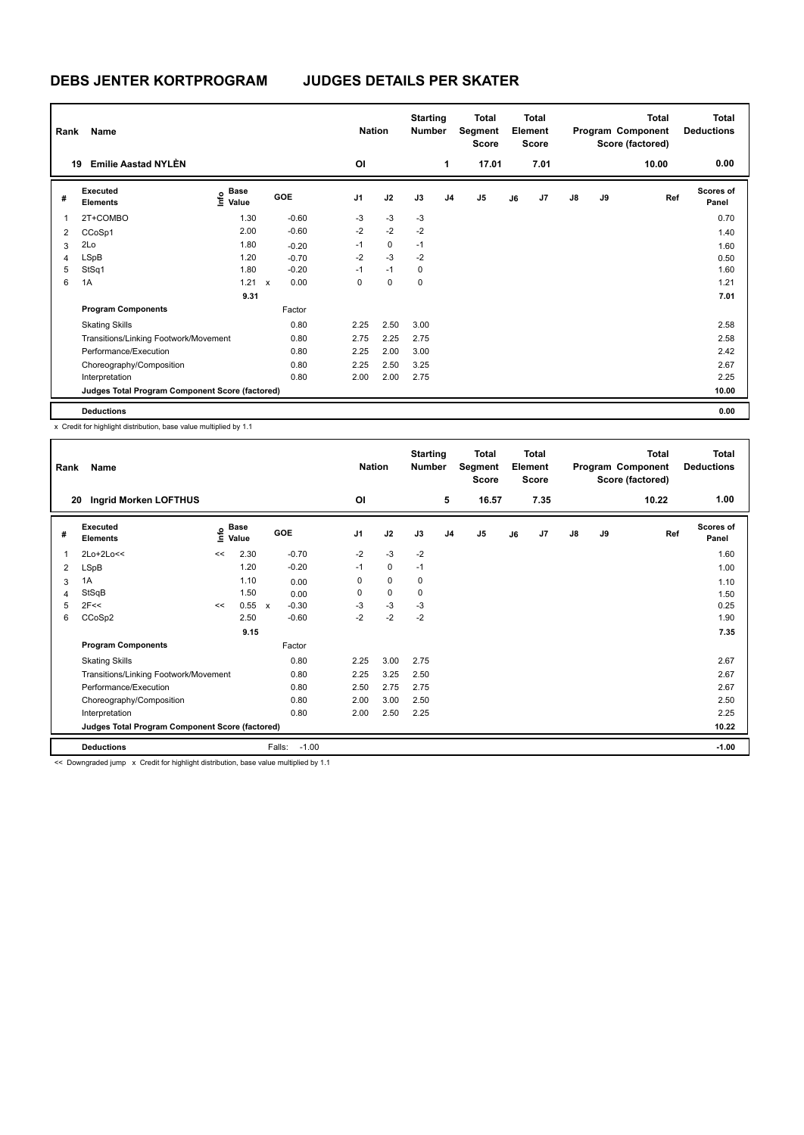| Rank | Name                                            |                           |                      |                | <b>Nation</b> | <b>Starting</b><br><b>Number</b> |                | <b>Total</b><br>Segment<br><b>Score</b> |    | <b>Total</b><br>Element<br><b>Score</b> |               |    | <b>Total</b><br>Program Component<br>Score (factored) | <b>Total</b><br><b>Deductions</b> |
|------|-------------------------------------------------|---------------------------|----------------------|----------------|---------------|----------------------------------|----------------|-----------------------------------------|----|-----------------------------------------|---------------|----|-------------------------------------------------------|-----------------------------------|
| 19   | <b>Emilie Aastad NYLÈN</b>                      |                           |                      | OI             |               |                                  | 1              | 17.01                                   |    | 7.01                                    |               |    | 10.00                                                 | 0.00                              |
| #    | <b>Executed</b><br><b>Elements</b>              | Base<br>e Base<br>⊆ Value | GOE                  | J <sub>1</sub> | J2            | J3                               | J <sub>4</sub> | J <sub>5</sub>                          | J6 | J7                                      | $\mathsf{J}8$ | J9 | Ref                                                   | <b>Scores of</b><br>Panel         |
|      | 2T+COMBO                                        | 1.30                      | $-0.60$              | $-3$           | $-3$          | $-3$                             |                |                                         |    |                                         |               |    |                                                       | 0.70                              |
| 2    | CCoSp1                                          | 2.00                      | $-0.60$              | $-2$           | $-2$          | $-2$                             |                |                                         |    |                                         |               |    |                                                       | 1.40                              |
| 3    | 2Lo                                             | 1.80                      | $-0.20$              | $-1$           | $\mathbf 0$   | $-1$                             |                |                                         |    |                                         |               |    |                                                       | 1.60                              |
| 4    | <b>LSpB</b>                                     | 1.20                      | $-0.70$              | $-2$           | $-3$          | $-2$                             |                |                                         |    |                                         |               |    |                                                       | 0.50                              |
| 5    | StSq1                                           | 1.80                      | $-0.20$              | $-1$           | $-1$          | 0                                |                |                                         |    |                                         |               |    |                                                       | 1.60                              |
| 6    | 1A                                              | 1.21                      | 0.00<br>$\mathsf{x}$ | 0              | $\mathbf 0$   | 0                                |                |                                         |    |                                         |               |    |                                                       | 1.21                              |
|      |                                                 | 9.31                      |                      |                |               |                                  |                |                                         |    |                                         |               |    |                                                       | 7.01                              |
|      | <b>Program Components</b>                       |                           | Factor               |                |               |                                  |                |                                         |    |                                         |               |    |                                                       |                                   |
|      | <b>Skating Skills</b>                           |                           | 0.80                 | 2.25           | 2.50          | 3.00                             |                |                                         |    |                                         |               |    |                                                       | 2.58                              |
|      | Transitions/Linking Footwork/Movement           |                           | 0.80                 | 2.75           | 2.25          | 2.75                             |                |                                         |    |                                         |               |    |                                                       | 2.58                              |
|      | Performance/Execution                           |                           | 0.80                 | 2.25           | 2.00          | 3.00                             |                |                                         |    |                                         |               |    |                                                       | 2.42                              |
|      | Choreography/Composition                        |                           | 0.80                 | 2.25           | 2.50          | 3.25                             |                |                                         |    |                                         |               |    |                                                       | 2.67                              |
|      | Interpretation                                  |                           | 0.80                 | 2.00           | 2.00          | 2.75                             |                |                                         |    |                                         |               |    |                                                       | 2.25                              |
|      | Judges Total Program Component Score (factored) |                           |                      |                |               |                                  |                |                                         |    |                                         |               |    |                                                       | 10.00                             |
|      | <b>Deductions</b>                               |                           |                      |                |               |                                  |                |                                         |    |                                         |               |    |                                                       | 0.00                              |

| Rank | Name                                            |      |                      |                         | <b>Nation</b>  |             | <b>Starting</b><br><b>Number</b> |                | Total<br>Segment<br>Score |    | <b>Total</b><br>Element<br><b>Score</b> |               |    | <b>Total</b><br>Program Component<br>Score (factored) | <b>Total</b><br><b>Deductions</b> |
|------|-------------------------------------------------|------|----------------------|-------------------------|----------------|-------------|----------------------------------|----------------|---------------------------|----|-----------------------------------------|---------------|----|-------------------------------------------------------|-----------------------------------|
| 20   | Ingrid Morken LOFTHUS                           |      |                      |                         | OI             |             |                                  | 5              | 16.57                     |    | 7.35                                    |               |    | 10.22                                                 | 1.00                              |
| #    | Executed<br><b>Elements</b>                     | ١nf٥ | <b>Base</b><br>Value | GOE                     | J <sub>1</sub> | J2          | J3                               | J <sub>4</sub> | J <sub>5</sub>            | J6 | J7                                      | $\mathsf{J}8$ | J9 | Ref                                                   | <b>Scores of</b><br>Panel         |
| 1    | 2Lo+2Lo<<                                       | <<   | 2.30                 | $-0.70$                 | $-2$           | $-3$        | $-2$                             |                |                           |    |                                         |               |    |                                                       | 1.60                              |
| 2    | LSpB                                            |      | 1.20                 | $-0.20$                 | $-1$           | 0           | $-1$                             |                |                           |    |                                         |               |    |                                                       | 1.00                              |
| 3    | 1A                                              |      | 1.10                 | 0.00                    | 0              | $\mathbf 0$ | 0                                |                |                           |    |                                         |               |    |                                                       | 1.10                              |
| 4    | StSqB                                           |      | 1.50                 | 0.00                    | 0              | $\mathbf 0$ | 0                                |                |                           |    |                                         |               |    |                                                       | 1.50                              |
| 5    | 2F<<                                            | <<   | 0.55                 | $-0.30$<br>$\mathsf{x}$ | $-3$           | $-3$        | -3                               |                |                           |    |                                         |               |    |                                                       | 0.25                              |
| 6    | CCoSp2                                          |      | 2.50                 | $-0.60$                 | $-2$           | $-2$        | $-2$                             |                |                           |    |                                         |               |    |                                                       | 1.90                              |
|      |                                                 |      | 9.15                 |                         |                |             |                                  |                |                           |    |                                         |               |    |                                                       | 7.35                              |
|      | <b>Program Components</b>                       |      |                      | Factor                  |                |             |                                  |                |                           |    |                                         |               |    |                                                       |                                   |
|      | <b>Skating Skills</b>                           |      |                      | 0.80                    | 2.25           | 3.00        | 2.75                             |                |                           |    |                                         |               |    |                                                       | 2.67                              |
|      | Transitions/Linking Footwork/Movement           |      |                      | 0.80                    | 2.25           | 3.25        | 2.50                             |                |                           |    |                                         |               |    |                                                       | 2.67                              |
|      | Performance/Execution                           |      |                      | 0.80                    | 2.50           | 2.75        | 2.75                             |                |                           |    |                                         |               |    |                                                       | 2.67                              |
|      | Choreography/Composition                        |      |                      | 0.80                    | 2.00           | 3.00        | 2.50                             |                |                           |    |                                         |               |    |                                                       | 2.50                              |
|      | Interpretation                                  |      |                      | 0.80                    | 2.00           | 2.50        | 2.25                             |                |                           |    |                                         |               |    |                                                       | 2.25                              |
|      | Judges Total Program Component Score (factored) |      |                      |                         |                |             |                                  |                |                           |    |                                         |               |    |                                                       | 10.22                             |
|      | <b>Deductions</b>                               |      |                      | Falls:<br>$-1.00$       |                |             |                                  |                |                           |    |                                         |               |    |                                                       | $-1.00$                           |

<< Downgraded jump x Credit for highlight distribution, base value multiplied by 1.1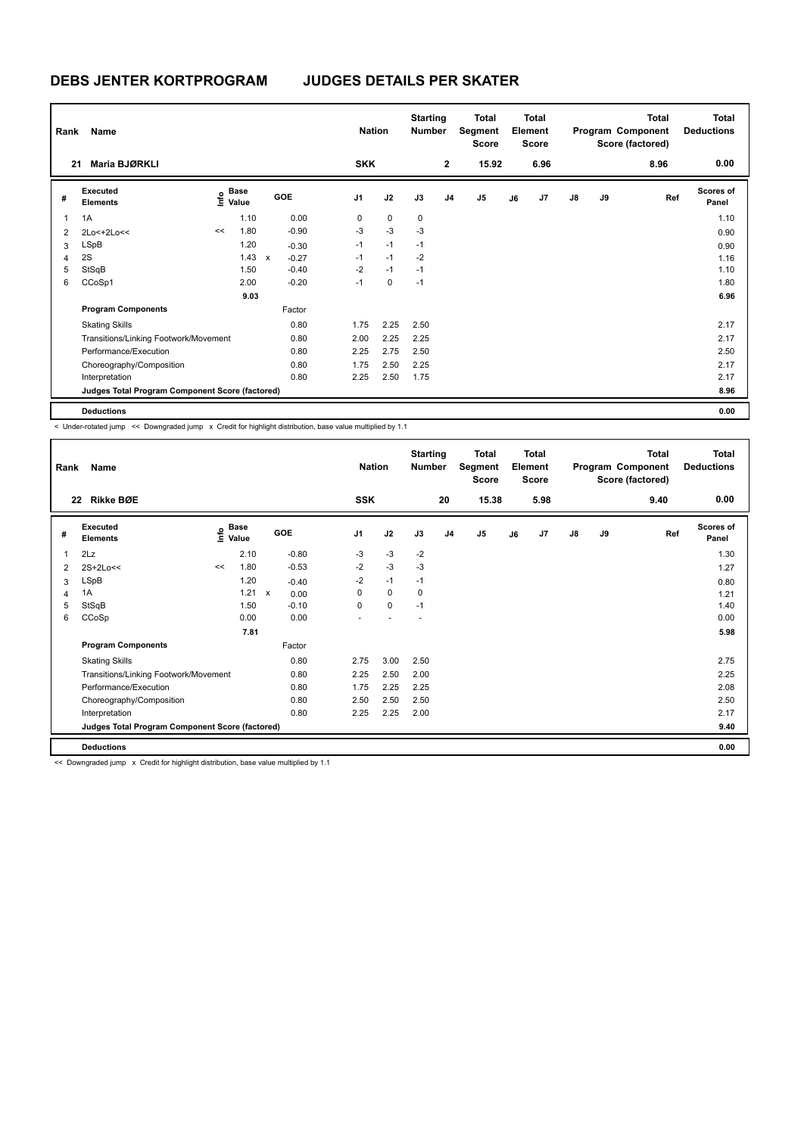| Rank | Name                                            |    |                                           |              |         | <b>Nation</b>  |             | <b>Starting</b><br><b>Number</b> |                | Total<br>Segment<br><b>Score</b> |    | <b>Total</b><br>Element<br><b>Score</b> |               |    | <b>Total</b><br>Program Component<br>Score (factored) | <b>Total</b><br><b>Deductions</b> |
|------|-------------------------------------------------|----|-------------------------------------------|--------------|---------|----------------|-------------|----------------------------------|----------------|----------------------------------|----|-----------------------------------------|---------------|----|-------------------------------------------------------|-----------------------------------|
| 21   | Maria BJØRKLI                                   |    |                                           |              |         | <b>SKK</b>     |             |                                  | $\overline{2}$ | 15.92                            |    | 6.96                                    |               |    | 8.96                                                  | 0.00                              |
| #    | Executed<br><b>Elements</b>                     |    | $\frac{e}{E}$ Base<br>$\frac{e}{E}$ Value |              | GOE     | J <sub>1</sub> | J2          | J3                               | J <sub>4</sub> | J5                               | J6 | J7                                      | $\mathsf{J}8$ | J9 | Ref                                                   | <b>Scores of</b><br>Panel         |
| 1    | 1A                                              |    | 1.10                                      |              | 0.00    | 0              | $\mathbf 0$ | 0                                |                |                                  |    |                                         |               |    |                                                       | 1.10                              |
| 2    | 2Lo<+2Lo<<                                      | << | 1.80                                      |              | $-0.90$ | $-3$           | $-3$        | -3                               |                |                                  |    |                                         |               |    |                                                       | 0.90                              |
| 3    | LSpB                                            |    | 1.20                                      |              | $-0.30$ | $-1$           | $-1$        | $-1$                             |                |                                  |    |                                         |               |    |                                                       | 0.90                              |
| 4    | 2S                                              |    | 1.43                                      | $\pmb{\chi}$ | $-0.27$ | $-1$           | $-1$        | $-2$                             |                |                                  |    |                                         |               |    |                                                       | 1.16                              |
| 5    | StSqB                                           |    | 1.50                                      |              | $-0.40$ | $-2$           | $-1$        | $-1$                             |                |                                  |    |                                         |               |    |                                                       | 1.10                              |
| 6    | CCoSp1                                          |    | 2.00                                      |              | $-0.20$ | $-1$           | 0           | $-1$                             |                |                                  |    |                                         |               |    |                                                       | 1.80                              |
|      |                                                 |    | 9.03                                      |              |         |                |             |                                  |                |                                  |    |                                         |               |    |                                                       | 6.96                              |
|      | <b>Program Components</b>                       |    |                                           |              | Factor  |                |             |                                  |                |                                  |    |                                         |               |    |                                                       |                                   |
|      | <b>Skating Skills</b>                           |    |                                           |              | 0.80    | 1.75           | 2.25        | 2.50                             |                |                                  |    |                                         |               |    |                                                       | 2.17                              |
|      | Transitions/Linking Footwork/Movement           |    |                                           |              | 0.80    | 2.00           | 2.25        | 2.25                             |                |                                  |    |                                         |               |    |                                                       | 2.17                              |
|      | Performance/Execution                           |    |                                           |              | 0.80    | 2.25           | 2.75        | 2.50                             |                |                                  |    |                                         |               |    |                                                       | 2.50                              |
|      | Choreography/Composition                        |    |                                           |              | 0.80    | 1.75           | 2.50        | 2.25                             |                |                                  |    |                                         |               |    |                                                       | 2.17                              |
|      | Interpretation                                  |    |                                           |              | 0.80    | 2.25           | 2.50        | 1.75                             |                |                                  |    |                                         |               |    |                                                       | 2.17                              |
|      | Judges Total Program Component Score (factored) |    |                                           |              |         |                |             |                                  |                |                                  |    |                                         |               |    |                                                       | 8.96                              |
|      | <b>Deductions</b>                               |    |                                           |              |         |                |             |                                  |                |                                  |    |                                         |               |    |                                                       | 0.00                              |

< Under-rotated jump << Downgraded jump x Credit for highlight distribution, base value multiplied by 1.1

| Rank | Name                                            |    |                                  |                           |         | <b>Nation</b>  |             | <b>Starting</b><br><b>Number</b> |                | Total<br>Segment<br>Score |    | <b>Total</b><br>Element<br><b>Score</b> |               |    | <b>Total</b><br>Program Component<br>Score (factored) | <b>Total</b><br><b>Deductions</b> |
|------|-------------------------------------------------|----|----------------------------------|---------------------------|---------|----------------|-------------|----------------------------------|----------------|---------------------------|----|-----------------------------------------|---------------|----|-------------------------------------------------------|-----------------------------------|
| 22   | Rikke BØE                                       |    |                                  |                           |         | <b>SSK</b>     |             |                                  | 20             | 15.38                     |    | 5.98                                    |               |    | 9.40                                                  | 0.00                              |
| #    | <b>Executed</b><br><b>Elements</b>              |    | <b>Base</b><br>e Base<br>⊆ Value | <b>GOE</b>                |         | J <sub>1</sub> | J2          | J3                               | J <sub>4</sub> | J5                        | J6 | J7                                      | $\mathsf{J}8$ | J9 | Ref                                                   | <b>Scores of</b><br>Panel         |
| 1    | 2Lz                                             |    | 2.10                             |                           | $-0.80$ | $-3$           | $-3$        | $-2$                             |                |                           |    |                                         |               |    |                                                       | 1.30                              |
| 2    | 2S+2Lo<<                                        | << | 1.80                             |                           | $-0.53$ | $-2$           | $-3$        | $-3$                             |                |                           |    |                                         |               |    |                                                       | 1.27                              |
| 3    | LSpB                                            |    | 1.20                             |                           | $-0.40$ | $-2$           | $-1$        | $-1$                             |                |                           |    |                                         |               |    |                                                       | 0.80                              |
| 4    | 1A                                              |    | 1.21                             | $\boldsymbol{\mathsf{x}}$ | 0.00    | 0              | $\mathbf 0$ | 0                                |                |                           |    |                                         |               |    |                                                       | 1.21                              |
| 5    | StSqB                                           |    | 1.50                             |                           | $-0.10$ | 0              | $\mathbf 0$ | $-1$                             |                |                           |    |                                         |               |    |                                                       | 1.40                              |
| 6    | CCoSp                                           |    | 0.00                             |                           | 0.00    |                |             |                                  |                |                           |    |                                         |               |    |                                                       | 0.00                              |
|      |                                                 |    | 7.81                             |                           |         |                |             |                                  |                |                           |    |                                         |               |    |                                                       | 5.98                              |
|      | <b>Program Components</b>                       |    |                                  |                           | Factor  |                |             |                                  |                |                           |    |                                         |               |    |                                                       |                                   |
|      | <b>Skating Skills</b>                           |    |                                  |                           | 0.80    | 2.75           | 3.00        | 2.50                             |                |                           |    |                                         |               |    |                                                       | 2.75                              |
|      | Transitions/Linking Footwork/Movement           |    |                                  |                           | 0.80    | 2.25           | 2.50        | 2.00                             |                |                           |    |                                         |               |    |                                                       | 2.25                              |
|      | Performance/Execution                           |    |                                  |                           | 0.80    | 1.75           | 2.25        | 2.25                             |                |                           |    |                                         |               |    |                                                       | 2.08                              |
|      | Choreography/Composition                        |    |                                  |                           | 0.80    | 2.50           | 2.50        | 2.50                             |                |                           |    |                                         |               |    |                                                       | 2.50                              |
|      | Interpretation                                  |    |                                  |                           | 0.80    | 2.25           | 2.25        | 2.00                             |                |                           |    |                                         |               |    |                                                       | 2.17                              |
|      | Judges Total Program Component Score (factored) |    |                                  |                           |         |                |             |                                  |                |                           |    |                                         |               |    |                                                       | 9.40                              |
|      | <b>Deductions</b>                               |    |                                  |                           |         |                |             |                                  |                |                           |    |                                         |               |    |                                                       | 0.00                              |

<< Downgraded jump x Credit for highlight distribution, base value multiplied by 1.1